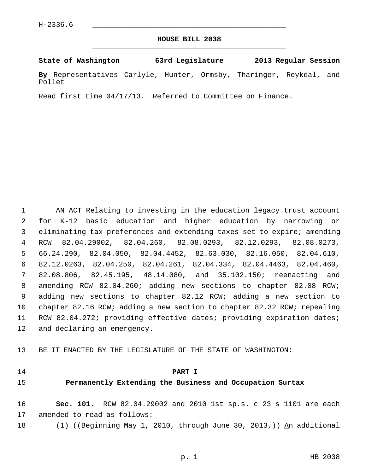#### **HOUSE BILL 2038** \_\_\_\_\_\_\_\_\_\_\_\_\_\_\_\_\_\_\_\_\_\_\_\_\_\_\_\_\_\_\_\_\_\_\_\_\_\_\_\_\_\_\_\_\_

#### **State of Washington 63rd Legislature 2013 Regular Session**

**By** Representatives Carlyle, Hunter, Ormsby, Tharinger, Reykdal, and Pollet

Read first time 04/17/13. Referred to Committee on Finance.

 1 AN ACT Relating to investing in the education legacy trust account 2 for K-12 basic education and higher education by narrowing or 3 eliminating tax preferences and extending taxes set to expire; amending 4 RCW 82.04.29002, 82.04.260, 82.08.0293, 82.12.0293, 82.08.0273, 5 66.24.290, 82.04.050, 82.04.4452, 82.63.030, 82.16.050, 82.04.610, 6 82.12.0263, 82.04.250, 82.04.261, 82.04.334, 82.04.4463, 82.04.460, 7 82.08.806, 82.45.195, 48.14.080, and 35.102.150; reenacting and 8 amending RCW 82.04.260; adding new sections to chapter 82.08 RCW; 9 adding new sections to chapter 82.12 RCW; adding a new section to 10 chapter 82.16 RCW; adding a new section to chapter 82.32 RCW; repealing 11 RCW 82.04.272; providing effective dates; providing expiration dates; 12 and declaring an emergency.

13 BE IT ENACTED BY THE LEGISLATURE OF THE STATE OF WASHINGTON:

#### 14 **PART I**

#### 15 **Permanently Extending the Business and Occupation Surtax**

16 **Sec. 101.** RCW 82.04.29002 and 2010 1st sp.s. c 23 s 1101 are each 17 amended to read as follows:

18  $(1)$  ((Beginning May 1, 2010, through June 30, 2013,)) An additional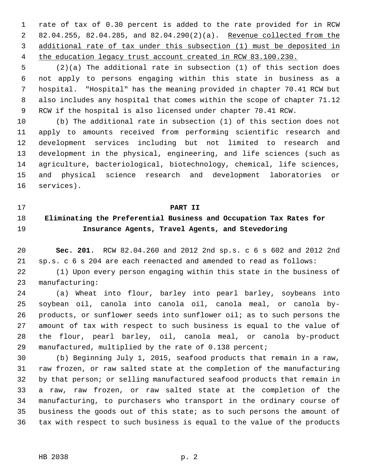1 rate of tax of 0.30 percent is added to the rate provided for in RCW 2 82.04.255, 82.04.285, and 82.04.290(2)(a). Revenue collected from the 3 additional rate of tax under this subsection (1) must be deposited in 4 the education legacy trust account created in RCW 83.100.230.

 5 (2)(a) The additional rate in subsection (1) of this section does 6 not apply to persons engaging within this state in business as a 7 hospital. "Hospital" has the meaning provided in chapter 70.41 RCW but 8 also includes any hospital that comes within the scope of chapter 71.12 9 RCW if the hospital is also licensed under chapter 70.41 RCW.

10 (b) The additional rate in subsection (1) of this section does not 11 apply to amounts received from performing scientific research and 12 development services including but not limited to research and 13 development in the physical, engineering, and life sciences (such as 14 agriculture, bacteriological, biotechnology, chemical, life sciences, 15 and physical science research and development laboratories or 16 services).

#### 17 **PART II**

# 18 **Eliminating the Preferential Business and Occupation Tax Rates for** 19 **Insurance Agents, Travel Agents, and Stevedoring**

20 **Sec. 201.** RCW 82.04.260 and 2012 2nd sp.s. c 6 s 602 and 2012 2nd 21 sp.s. c 6 s 204 are each reenacted and amended to read as follows:

22 (1) Upon every person engaging within this state in the business of 23 manufacturing:

24 (a) Wheat into flour, barley into pearl barley, soybeans into 25 soybean oil, canola into canola oil, canola meal, or canola by-26 products, or sunflower seeds into sunflower oil; as to such persons the 27 amount of tax with respect to such business is equal to the value of 28 the flour, pearl barley, oil, canola meal, or canola by-product 29 manufactured, multiplied by the rate of 0.138 percent;

30 (b) Beginning July 1, 2015, seafood products that remain in a raw, 31 raw frozen, or raw salted state at the completion of the manufacturing 32 by that person; or selling manufactured seafood products that remain in 33 a raw, raw frozen, or raw salted state at the completion of the 34 manufacturing, to purchasers who transport in the ordinary course of 35 business the goods out of this state; as to such persons the amount of 36 tax with respect to such business is equal to the value of the products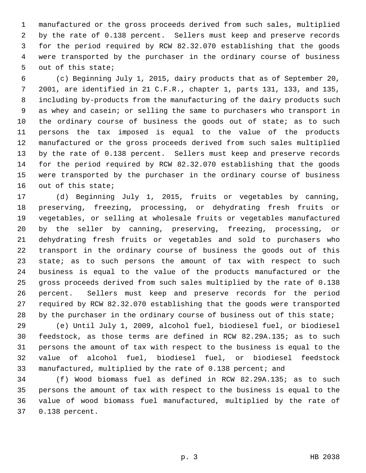1 manufactured or the gross proceeds derived from such sales, multiplied 2 by the rate of 0.138 percent. Sellers must keep and preserve records 3 for the period required by RCW 82.32.070 establishing that the goods 4 were transported by the purchaser in the ordinary course of business 5 out of this state;

 6 (c) Beginning July 1, 2015, dairy products that as of September 20, 7 2001, are identified in 21 C.F.R., chapter 1, parts 131, 133, and 135, 8 including by-products from the manufacturing of the dairy products such 9 as whey and casein; or selling the same to purchasers who transport in 10 the ordinary course of business the goods out of state; as to such 11 persons the tax imposed is equal to the value of the products 12 manufactured or the gross proceeds derived from such sales multiplied 13 by the rate of 0.138 percent. Sellers must keep and preserve records 14 for the period required by RCW 82.32.070 establishing that the goods 15 were transported by the purchaser in the ordinary course of business 16 out of this state;

17 (d) Beginning July 1, 2015, fruits or vegetables by canning, 18 preserving, freezing, processing, or dehydrating fresh fruits or 19 vegetables, or selling at wholesale fruits or vegetables manufactured 20 by the seller by canning, preserving, freezing, processing, or 21 dehydrating fresh fruits or vegetables and sold to purchasers who 22 transport in the ordinary course of business the goods out of this 23 state; as to such persons the amount of tax with respect to such 24 business is equal to the value of the products manufactured or the 25 gross proceeds derived from such sales multiplied by the rate of 0.138 26 percent. Sellers must keep and preserve records for the period 27 required by RCW 82.32.070 establishing that the goods were transported 28 by the purchaser in the ordinary course of business out of this state;

29 (e) Until July 1, 2009, alcohol fuel, biodiesel fuel, or biodiesel 30 feedstock, as those terms are defined in RCW 82.29A.135; as to such 31 persons the amount of tax with respect to the business is equal to the 32 value of alcohol fuel, biodiesel fuel, or biodiesel feedstock 33 manufactured, multiplied by the rate of 0.138 percent; and

34 (f) Wood biomass fuel as defined in RCW 82.29A.135; as to such 35 persons the amount of tax with respect to the business is equal to the 36 value of wood biomass fuel manufactured, multiplied by the rate of 37 0.138 percent.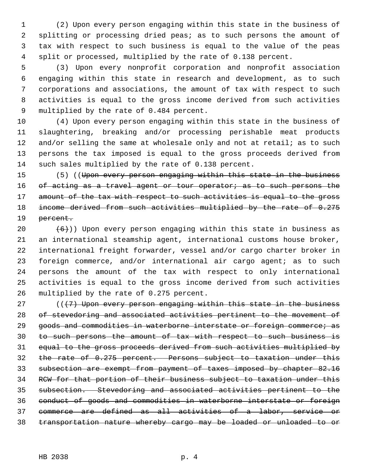1 (2) Upon every person engaging within this state in the business of 2 splitting or processing dried peas; as to such persons the amount of 3 tax with respect to such business is equal to the value of the peas 4 split or processed, multiplied by the rate of 0.138 percent.

 5 (3) Upon every nonprofit corporation and nonprofit association 6 engaging within this state in research and development, as to such 7 corporations and associations, the amount of tax with respect to such 8 activities is equal to the gross income derived from such activities 9 multiplied by the rate of 0.484 percent.

10 (4) Upon every person engaging within this state in the business of 11 slaughtering, breaking and/or processing perishable meat products 12 and/or selling the same at wholesale only and not at retail; as to such 13 persons the tax imposed is equal to the gross proceeds derived from 14 such sales multiplied by the rate of 0.138 percent.

15 (5) ((Upon every person engaging within this state in the business 16 of acting as a travel agent or tour operator; as to such persons the 17 amount of the tax with respect to such activities is equal to the gross 18 income derived from such activities multiplied by the rate of 0.275 19 <del>percent.</del>

20  $(6)$ )) Upon every person engaging within this state in business as 21 an international steamship agent, international customs house broker, 22 international freight forwarder, vessel and/or cargo charter broker in 23 foreign commerce, and/or international air cargo agent; as to such 24 persons the amount of the tax with respect to only international 25 activities is equal to the gross income derived from such activities 26 multiplied by the rate of 0.275 percent.

 $((17)$  Upon every person engaging within this state in the business of stevedoring and associated activities pertinent to the movement of 29 goods and commodities in waterborne interstate or foreign commerce; as to such persons the amount of tax with respect to such business is equal to the gross proceeds derived from such activities multiplied by the rate of 0.275 percent. Persons subject to taxation under this subsection are exempt from payment of taxes imposed by chapter 82.16 RCW for that portion of their business subject to taxation under this subsection. Stevedoring and associated activities pertinent to the conduct of goods and commodities in waterborne interstate or foreign commerce are defined as all activities of a labor, service or transportation nature whereby cargo may be loaded or unloaded to or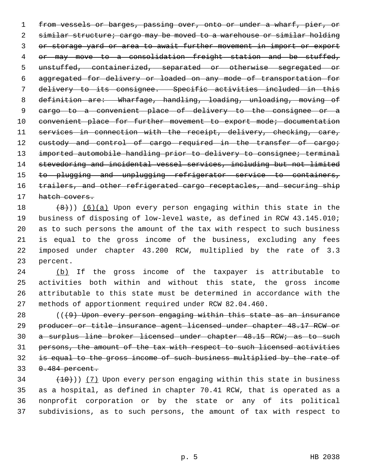1 from vessels or barges, passing over, onto or under a wharf, pier, or 2 similar structure; cargo may be moved to a warehouse or similar holding 3 or storage yard or area to await further movement in import or export 4 or may move to a consolidation freight station and be stuffed, 5 unstuffed, containerized, separated or otherwise segregated or 6 aggregated for delivery or loaded on any mode of transportation for 7 delivery to its consignee. Specific activities included in this 8 definition are: Wharfage, handling, loading, unloading, moving of 9 cargo to a convenient place of delivery to the consignee or a 10 convenient place for further movement to export mode; documentation 11 services in connection with the receipt, delivery, checking, care, 12 custody and control of cargo required in the transfer of cargo; 13 imported automobile handling prior to delivery to consignee; terminal 14 stevedoring and incidental vessel services, including but not limited 15 to plugging and unplugging refrigerator service to containers, 16 trailers, and other refrigerated cargo receptacles, and securing ship 17 hatch covers.

18  $(8)$ ) (6)(a) Upon every person engaging within this state in the 19 business of disposing of low-level waste, as defined in RCW 43.145.010; 20 as to such persons the amount of the tax with respect to such business 21 is equal to the gross income of the business, excluding any fees 22 imposed under chapter 43.200 RCW, multiplied by the rate of 3.3 23 percent.

24 (b) If the gross income of the taxpayer is attributable to 25 activities both within and without this state, the gross income 26 attributable to this state must be determined in accordance with the 27 methods of apportionment required under RCW 82.04.460.

 ( $(49)$  Upon every person engaging within this state as an insurance producer or title insurance agent licensed under chapter 48.17 RCW or a surplus line broker licensed under chapter 48.15 RCW; as to such persons, the amount of the tax with respect to such licensed activities is equal to the gross income of such business multiplied by the rate of 33 0.484 percent.

 $(10)$ ) (7) Upon every person engaging within this state in business 35 as a hospital, as defined in chapter 70.41 RCW, that is operated as a 36 nonprofit corporation or by the state or any of its political 37 subdivisions, as to such persons, the amount of tax with respect to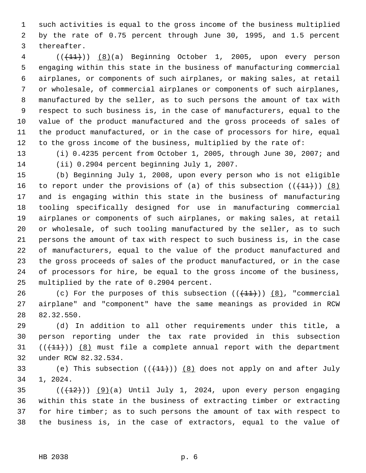1 such activities is equal to the gross income of the business multiplied 2 by the rate of 0.75 percent through June 30, 1995, and 1.5 percent 3 thereafter.

4 (( $(11)$ )) (8)(a) Beginning October 1, 2005, upon every person 5 engaging within this state in the business of manufacturing commercial 6 airplanes, or components of such airplanes, or making sales, at retail 7 or wholesale, of commercial airplanes or components of such airplanes, 8 manufactured by the seller, as to such persons the amount of tax with 9 respect to such business is, in the case of manufacturers, equal to the 10 value of the product manufactured and the gross proceeds of sales of 11 the product manufactured, or in the case of processors for hire, equal 12 to the gross income of the business, multiplied by the rate of:

13 (i) 0.4235 percent from October 1, 2005, through June 30, 2007; and 14 (ii) 0.2904 percent beginning July 1, 2007.

15 (b) Beginning July 1, 2008, upon every person who is not eligible 16 to report under the provisions of (a) of this subsection  $((+11))$  (8) 17 and is engaging within this state in the business of manufacturing 18 tooling specifically designed for use in manufacturing commercial 19 airplanes or components of such airplanes, or making sales, at retail 20 or wholesale, of such tooling manufactured by the seller, as to such 21 persons the amount of tax with respect to such business is, in the case 22 of manufacturers, equal to the value of the product manufactured and 23 the gross proceeds of sales of the product manufactured, or in the case 24 of processors for hire, be equal to the gross income of the business, 25 multiplied by the rate of 0.2904 percent.

26 (c) For the purposes of this subsection  $((+11))$   $(8)$ , "commercial 27 airplane" and "component" have the same meanings as provided in RCW 28 82.32.550.

29 (d) In addition to all other requirements under this title, a 30 person reporting under the tax rate provided in this subsection 31  $((+11))$  (8) must file a complete annual report with the department 32 under RCW 82.32.534.

33 (e) This subsection  $((+11))$   $(8)$  does not apply on and after July 34 1, 2024.

 $(1+12)(1+12)$  (9)(a) Until July 1, 2024, upon every person engaging 36 within this state in the business of extracting timber or extracting 37 for hire timber; as to such persons the amount of tax with respect to 38 the business is, in the case of extractors, equal to the value of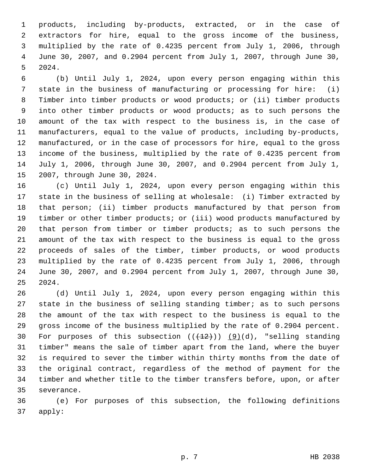1 products, including by-products, extracted, or in the case of 2 extractors for hire, equal to the gross income of the business, 3 multiplied by the rate of 0.4235 percent from July 1, 2006, through 4 June 30, 2007, and 0.2904 percent from July 1, 2007, through June 30, 5 2024.

 6 (b) Until July 1, 2024, upon every person engaging within this 7 state in the business of manufacturing or processing for hire: (i) 8 Timber into timber products or wood products; or (ii) timber products 9 into other timber products or wood products; as to such persons the 10 amount of the tax with respect to the business is, in the case of 11 manufacturers, equal to the value of products, including by-products, 12 manufactured, or in the case of processors for hire, equal to the gross 13 income of the business, multiplied by the rate of 0.4235 percent from 14 July 1, 2006, through June 30, 2007, and 0.2904 percent from July 1, 15 2007, through June 30, 2024.

16 (c) Until July 1, 2024, upon every person engaging within this 17 state in the business of selling at wholesale: (i) Timber extracted by 18 that person; (ii) timber products manufactured by that person from 19 timber or other timber products; or (iii) wood products manufactured by 20 that person from timber or timber products; as to such persons the 21 amount of the tax with respect to the business is equal to the gross 22 proceeds of sales of the timber, timber products, or wood products 23 multiplied by the rate of 0.4235 percent from July 1, 2006, through 24 June 30, 2007, and 0.2904 percent from July 1, 2007, through June 30, 25 2024.

26 (d) Until July 1, 2024, upon every person engaging within this 27 state in the business of selling standing timber; as to such persons 28 the amount of the tax with respect to the business is equal to the 29 gross income of the business multiplied by the rate of 0.2904 percent. 30 For purposes of this subsection  $((+12))$   $(9)(d)$ , "selling standing 31 timber" means the sale of timber apart from the land, where the buyer 32 is required to sever the timber within thirty months from the date of 33 the original contract, regardless of the method of payment for the 34 timber and whether title to the timber transfers before, upon, or after 35 severance.

36 (e) For purposes of this subsection, the following definitions 37 apply: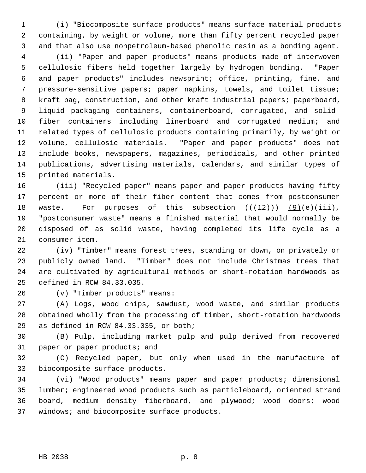1 (i) "Biocomposite surface products" means surface material products 2 containing, by weight or volume, more than fifty percent recycled paper 3 and that also use nonpetroleum-based phenolic resin as a bonding agent.

 4 (ii) "Paper and paper products" means products made of interwoven 5 cellulosic fibers held together largely by hydrogen bonding. "Paper 6 and paper products" includes newsprint; office, printing, fine, and 7 pressure-sensitive papers; paper napkins, towels, and toilet tissue; 8 kraft bag, construction, and other kraft industrial papers; paperboard, 9 liquid packaging containers, containerboard, corrugated, and solid-10 fiber containers including linerboard and corrugated medium; and 11 related types of cellulosic products containing primarily, by weight or 12 volume, cellulosic materials. "Paper and paper products" does not 13 include books, newspapers, magazines, periodicals, and other printed 14 publications, advertising materials, calendars, and similar types of 15 printed materials.

16 (iii) "Recycled paper" means paper and paper products having fifty 17 percent or more of their fiber content that comes from postconsumer 18 waste. For purposes of this subsection  $((+12))$   $(9)(e)(iii)$ , 19 "postconsumer waste" means a finished material that would normally be 20 disposed of as solid waste, having completed its life cycle as a 21 consumer item.

22 (iv) "Timber" means forest trees, standing or down, on privately or 23 publicly owned land. "Timber" does not include Christmas trees that 24 are cultivated by agricultural methods or short-rotation hardwoods as 25 defined in RCW 84.33.035.

26 (v) "Timber products" means:

27 (A) Logs, wood chips, sawdust, wood waste, and similar products 28 obtained wholly from the processing of timber, short-rotation hardwoods 29 as defined in RCW 84.33.035, or both;

30 (B) Pulp, including market pulp and pulp derived from recovered 31 paper or paper products; and

32 (C) Recycled paper, but only when used in the manufacture of 33 biocomposite surface products.

34 (vi) "Wood products" means paper and paper products; dimensional 35 lumber; engineered wood products such as particleboard, oriented strand 36 board, medium density fiberboard, and plywood; wood doors; wood 37 windows; and biocomposite surface products.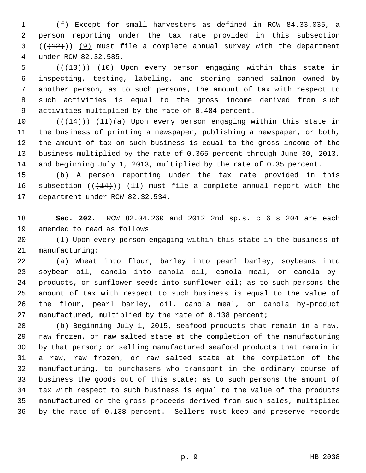1 (f) Except for small harvesters as defined in RCW 84.33.035, a 2 person reporting under the tax rate provided in this subsection  $3$   $((+12))$   $(9)$  must file a complete annual survey with the department 4 under RCW 82.32.585.

5  $((+13))$  (10) Upon every person engaging within this state in 6 inspecting, testing, labeling, and storing canned salmon owned by 7 another person, as to such persons, the amount of tax with respect to 8 such activities is equal to the gross income derived from such 9 activities multiplied by the rate of 0.484 percent.

10  $((+14))$   $(11)(a)$  Upon every person engaging within this state in 11 the business of printing a newspaper, publishing a newspaper, or both, 12 the amount of tax on such business is equal to the gross income of the 13 business multiplied by the rate of 0.365 percent through June 30, 2013, 14 and beginning July 1, 2013, multiplied by the rate of 0.35 percent.

15 (b) A person reporting under the tax rate provided in this 16 subsection  $((+14))$  (11) must file a complete annual report with the 17 department under RCW 82.32.534.

18 **Sec. 202.** RCW 82.04.260 and 2012 2nd sp.s. c 6 s 204 are each 19 amended to read as follows:

20 (1) Upon every person engaging within this state in the business of 21 manufacturing:

22 (a) Wheat into flour, barley into pearl barley, soybeans into 23 soybean oil, canola into canola oil, canola meal, or canola by-24 products, or sunflower seeds into sunflower oil; as to such persons the 25 amount of tax with respect to such business is equal to the value of 26 the flour, pearl barley, oil, canola meal, or canola by-product 27 manufactured, multiplied by the rate of 0.138 percent;

28 (b) Beginning July 1, 2015, seafood products that remain in a raw, 29 raw frozen, or raw salted state at the completion of the manufacturing 30 by that person; or selling manufactured seafood products that remain in 31 a raw, raw frozen, or raw salted state at the completion of the 32 manufacturing, to purchasers who transport in the ordinary course of 33 business the goods out of this state; as to such persons the amount of 34 tax with respect to such business is equal to the value of the products 35 manufactured or the gross proceeds derived from such sales, multiplied 36 by the rate of 0.138 percent. Sellers must keep and preserve records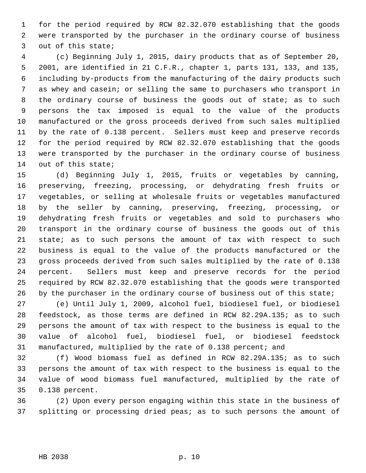1 for the period required by RCW 82.32.070 establishing that the goods 2 were transported by the purchaser in the ordinary course of business 3 out of this state;

 4 (c) Beginning July 1, 2015, dairy products that as of September 20, 5 2001, are identified in 21 C.F.R., chapter 1, parts 131, 133, and 135, 6 including by-products from the manufacturing of the dairy products such 7 as whey and casein; or selling the same to purchasers who transport in 8 the ordinary course of business the goods out of state; as to such 9 persons the tax imposed is equal to the value of the products 10 manufactured or the gross proceeds derived from such sales multiplied 11 by the rate of 0.138 percent. Sellers must keep and preserve records 12 for the period required by RCW 82.32.070 establishing that the goods 13 were transported by the purchaser in the ordinary course of business 14 out of this state;

15 (d) Beginning July 1, 2015, fruits or vegetables by canning, 16 preserving, freezing, processing, or dehydrating fresh fruits or 17 vegetables, or selling at wholesale fruits or vegetables manufactured 18 by the seller by canning, preserving, freezing, processing, or 19 dehydrating fresh fruits or vegetables and sold to purchasers who 20 transport in the ordinary course of business the goods out of this 21 state; as to such persons the amount of tax with respect to such 22 business is equal to the value of the products manufactured or the 23 gross proceeds derived from such sales multiplied by the rate of 0.138 24 percent. Sellers must keep and preserve records for the period 25 required by RCW 82.32.070 establishing that the goods were transported 26 by the purchaser in the ordinary course of business out of this state;

27 (e) Until July 1, 2009, alcohol fuel, biodiesel fuel, or biodiesel 28 feedstock, as those terms are defined in RCW 82.29A.135; as to such 29 persons the amount of tax with respect to the business is equal to the 30 value of alcohol fuel, biodiesel fuel, or biodiesel feedstock 31 manufactured, multiplied by the rate of 0.138 percent; and

32 (f) Wood biomass fuel as defined in RCW 82.29A.135; as to such 33 persons the amount of tax with respect to the business is equal to the 34 value of wood biomass fuel manufactured, multiplied by the rate of 35 0.138 percent.

36 (2) Upon every person engaging within this state in the business of 37 splitting or processing dried peas; as to such persons the amount of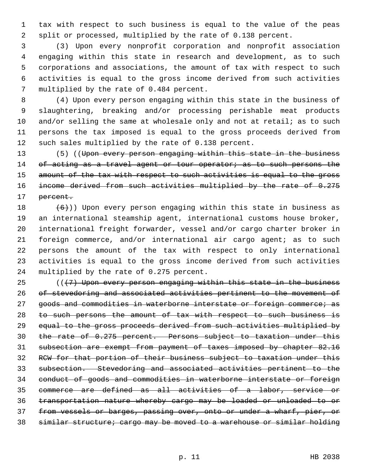1 tax with respect to such business is equal to the value of the peas 2 split or processed, multiplied by the rate of 0.138 percent.

 3 (3) Upon every nonprofit corporation and nonprofit association 4 engaging within this state in research and development, as to such 5 corporations and associations, the amount of tax with respect to such 6 activities is equal to the gross income derived from such activities 7 multiplied by the rate of 0.484 percent.

 8 (4) Upon every person engaging within this state in the business of 9 slaughtering, breaking and/or processing perishable meat products 10 and/or selling the same at wholesale only and not at retail; as to such 11 persons the tax imposed is equal to the gross proceeds derived from 12 such sales multiplied by the rate of 0.138 percent.

13 (5) ((Upon every person engaging within this state in the business 14 of acting as a travel agent or tour operator; as to such persons the 15 amount of the tax with respect to such activities is equal to the gross 16 income derived from such activities multiplied by the rate of 0.275 17 <del>percent.</del>

18  $(6)$ )) Upon every person engaging within this state in business as 19 an international steamship agent, international customs house broker, 20 international freight forwarder, vessel and/or cargo charter broker in 21 foreign commerce, and/or international air cargo agent; as to such 22 persons the amount of the tax with respect to only international 23 activities is equal to the gross income derived from such activities 24 multiplied by the rate of 0.275 percent.

 $((17)$  Upon every person engaging within this state in the business of stevedoring and associated activities pertinent to the movement of 27 goods and commodities in waterborne interstate or foreign commerce; as 28 to such persons the amount of tax with respect to such business is equal to the gross proceeds derived from such activities multiplied by the rate of 0.275 percent. Persons subject to taxation under this subsection are exempt from payment of taxes imposed by chapter 82.16 RCW for that portion of their business subject to taxation under this subsection. Stevedoring and associated activities pertinent to the conduct of goods and commodities in waterborne interstate or foreign commerce are defined as all activities of a labor, service or transportation nature whereby cargo may be loaded or unloaded to or from vessels or barges, passing over, onto or under a wharf, pier, or similar structure; cargo may be moved to a warehouse or similar holding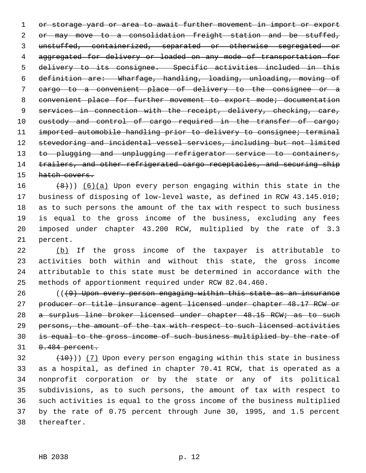1 or storage yard or area to await further movement in import or export 2 or may move to a consolidation freight station and be stuffed, 3 unstuffed, containerized, separated or otherwise segregated or 4 aggregated for delivery or loaded on any mode of transportation for 5 delivery to its consignee. Specific activities included in this 6 definition are: Wharfage, handling, loading, unloading, moving of 7 cargo to a convenient place of delivery to the consignee or a 8 convenient place for further movement to export mode; documentation 9 services in connection with the receipt, delivery, checking, care, 10 custody and control of cargo required in the transfer of cargo; 11 imported automobile handling prior to delivery to consignee; terminal 12 stevedoring and incidental vessel services, including but not limited 13 to plugging and unplugging refrigerator service to containers, 14 trailers, and other refrigerated cargo receptacles, and securing ship 15 hatch covers.

16  $(8)$ ) (6)(a) Upon every person engaging within this state in the 17 business of disposing of low-level waste, as defined in RCW 43.145.010; 18 as to such persons the amount of the tax with respect to such business 19 is equal to the gross income of the business, excluding any fees 20 imposed under chapter 43.200 RCW, multiplied by the rate of 3.3 21 percent.

22 (b) If the gross income of the taxpayer is attributable to 23 activities both within and without this state, the gross income 24 attributable to this state must be determined in accordance with the 25 methods of apportionment required under RCW 82.04.460.

 (( $\left(9\right)$  Upon every person engaging within this state as an insurance producer or title insurance agent licensed under chapter 48.17 RCW or 28 a surplus line broker licensed under chapter 48.15 RCW; as to such 29 persons, the amount of the tax with respect to such licensed activities is equal to the gross income of such business multiplied by the rate of  $0.484$  percent.

 $(10)$ ) (7) Upon every person engaging within this state in business 33 as a hospital, as defined in chapter 70.41 RCW, that is operated as a 34 nonprofit corporation or by the state or any of its political 35 subdivisions, as to such persons, the amount of tax with respect to 36 such activities is equal to the gross income of the business multiplied 37 by the rate of 0.75 percent through June 30, 1995, and 1.5 percent 38 thereafter.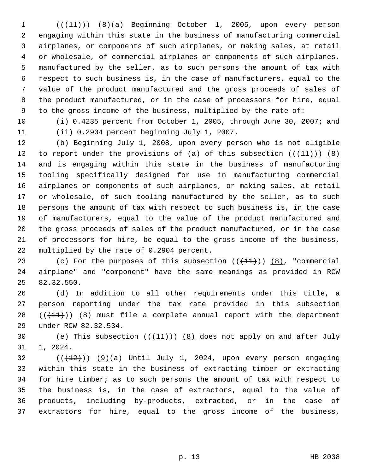$1$   $((+11))$   $(8)(a)$  Beginning October 1, 2005, upon every person 2 engaging within this state in the business of manufacturing commercial 3 airplanes, or components of such airplanes, or making sales, at retail 4 or wholesale, of commercial airplanes or components of such airplanes, 5 manufactured by the seller, as to such persons the amount of tax with 6 respect to such business is, in the case of manufacturers, equal to the 7 value of the product manufactured and the gross proceeds of sales of 8 the product manufactured, or in the case of processors for hire, equal 9 to the gross income of the business, multiplied by the rate of:

10 (i) 0.4235 percent from October 1, 2005, through June 30, 2007; and 11 (ii) 0.2904 percent beginning July 1, 2007.

12 (b) Beginning July 1, 2008, upon every person who is not eligible 13 to report under the provisions of (a) of this subsection  $((+11))$  (8) 14 and is engaging within this state in the business of manufacturing 15 tooling specifically designed for use in manufacturing commercial 16 airplanes or components of such airplanes, or making sales, at retail 17 or wholesale, of such tooling manufactured by the seller, as to such 18 persons the amount of tax with respect to such business is, in the case 19 of manufacturers, equal to the value of the product manufactured and 20 the gross proceeds of sales of the product manufactured, or in the case 21 of processors for hire, be equal to the gross income of the business, 22 multiplied by the rate of 0.2904 percent.

23 (c) For the purposes of this subsection  $((+11))$   $(8)$ , "commercial 24 airplane" and "component" have the same meanings as provided in RCW 25 82.32.550.

26 (d) In addition to all other requirements under this title, a 27 person reporting under the tax rate provided in this subsection 28  $((+11))$   $(8)$  must file a complete annual report with the department 29 under RCW 82.32.534.

30 (e) This subsection  $((+11))$   $(8)$  does not apply on and after July 31 1, 2024.

 $(1+12)(1)$  (9)(a) Until July 1, 2024, upon every person engaging 33 within this state in the business of extracting timber or extracting 34 for hire timber; as to such persons the amount of tax with respect to 35 the business is, in the case of extractors, equal to the value of 36 products, including by-products, extracted, or in the case of 37 extractors for hire, equal to the gross income of the business,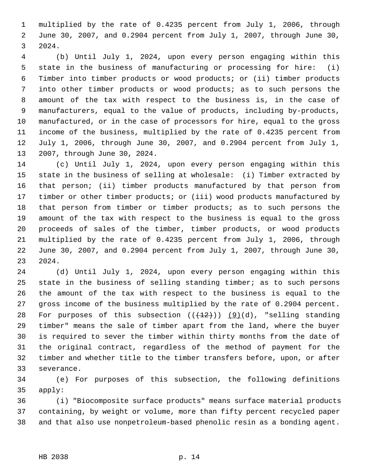1 multiplied by the rate of 0.4235 percent from July 1, 2006, through 2 June 30, 2007, and 0.2904 percent from July 1, 2007, through June 30, 3 2024.

 4 (b) Until July 1, 2024, upon every person engaging within this 5 state in the business of manufacturing or processing for hire: (i) 6 Timber into timber products or wood products; or (ii) timber products 7 into other timber products or wood products; as to such persons the 8 amount of the tax with respect to the business is, in the case of 9 manufacturers, equal to the value of products, including by-products, 10 manufactured, or in the case of processors for hire, equal to the gross 11 income of the business, multiplied by the rate of 0.4235 percent from 12 July 1, 2006, through June 30, 2007, and 0.2904 percent from July 1, 13 2007, through June 30, 2024.

14 (c) Until July 1, 2024, upon every person engaging within this 15 state in the business of selling at wholesale: (i) Timber extracted by 16 that person; (ii) timber products manufactured by that person from 17 timber or other timber products; or (iii) wood products manufactured by 18 that person from timber or timber products; as to such persons the 19 amount of the tax with respect to the business is equal to the gross 20 proceeds of sales of the timber, timber products, or wood products 21 multiplied by the rate of 0.4235 percent from July 1, 2006, through 22 June 30, 2007, and 0.2904 percent from July 1, 2007, through June 30, 23 2024.

24 (d) Until July 1, 2024, upon every person engaging within this 25 state in the business of selling standing timber; as to such persons 26 the amount of the tax with respect to the business is equal to the 27 gross income of the business multiplied by the rate of 0.2904 percent. 28 For purposes of this subsection  $((+12))$  (9)(d), "selling standing 29 timber" means the sale of timber apart from the land, where the buyer 30 is required to sever the timber within thirty months from the date of 31 the original contract, regardless of the method of payment for the 32 timber and whether title to the timber transfers before, upon, or after 33 severance.

34 (e) For purposes of this subsection, the following definitions 35 apply:

36 (i) "Biocomposite surface products" means surface material products 37 containing, by weight or volume, more than fifty percent recycled paper 38 and that also use nonpetroleum-based phenolic resin as a bonding agent.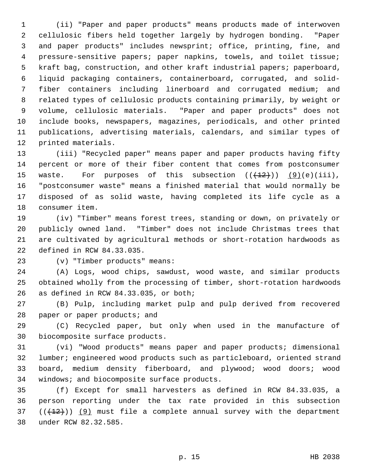1 (ii) "Paper and paper products" means products made of interwoven 2 cellulosic fibers held together largely by hydrogen bonding. "Paper 3 and paper products" includes newsprint; office, printing, fine, and 4 pressure-sensitive papers; paper napkins, towels, and toilet tissue; 5 kraft bag, construction, and other kraft industrial papers; paperboard, 6 liquid packaging containers, containerboard, corrugated, and solid- 7 fiber containers including linerboard and corrugated medium; and 8 related types of cellulosic products containing primarily, by weight or 9 volume, cellulosic materials. "Paper and paper products" does not 10 include books, newspapers, magazines, periodicals, and other printed 11 publications, advertising materials, calendars, and similar types of 12 printed materials.

13 (iii) "Recycled paper" means paper and paper products having fifty 14 percent or more of their fiber content that comes from postconsumer 15 waste. For purposes of this subsection  $((+12)^2)$  (9)(e)(iii), 16 "postconsumer waste" means a finished material that would normally be 17 disposed of as solid waste, having completed its life cycle as a 18 consumer item.

19 (iv) "Timber" means forest trees, standing or down, on privately or 20 publicly owned land. "Timber" does not include Christmas trees that 21 are cultivated by agricultural methods or short-rotation hardwoods as 22 defined in RCW 84.33.035.

23 (v) "Timber products" means:

24 (A) Logs, wood chips, sawdust, wood waste, and similar products 25 obtained wholly from the processing of timber, short-rotation hardwoods 26 as defined in RCW 84.33.035, or both;

27 (B) Pulp, including market pulp and pulp derived from recovered 28 paper or paper products; and

29 (C) Recycled paper, but only when used in the manufacture of 30 biocomposite surface products.

31 (vi) "Wood products" means paper and paper products; dimensional 32 lumber; engineered wood products such as particleboard, oriented strand 33 board, medium density fiberboard, and plywood; wood doors; wood 34 windows; and biocomposite surface products.

35 (f) Except for small harvesters as defined in RCW 84.33.035, a 36 person reporting under the tax rate provided in this subsection 37  $((+12))$  (9) must file a complete annual survey with the department 38 under RCW 82.32.585.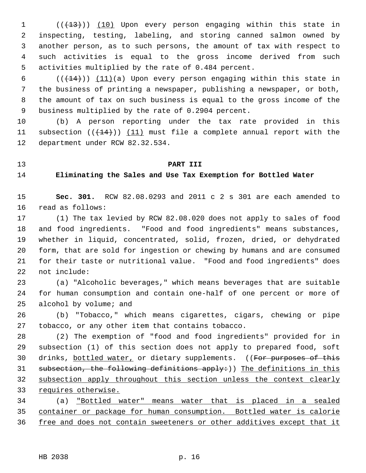1 (( $(13)$ )) (10) Upon every person engaging within this state in 2 inspecting, testing, labeling, and storing canned salmon owned by 3 another person, as to such persons, the amount of tax with respect to 4 such activities is equal to the gross income derived from such 5 activities multiplied by the rate of 0.484 percent.

6  $((+14))$   $(11)(a)$  Upon every person engaging within this state in 7 the business of printing a newspaper, publishing a newspaper, or both, 8 the amount of tax on such business is equal to the gross income of the 9 business multiplied by the rate of 0.2904 percent.

10 (b) A person reporting under the tax rate provided in this 11 subsection  $((+14))$  (11) must file a complete annual report with the 12 department under RCW 82.32.534.

# 13 **PART III**

#### 14 **Eliminating the Sales and Use Tax Exemption for Bottled Water**

15 **Sec. 301.** RCW 82.08.0293 and 2011 c 2 s 301 are each amended to 16 read as follows:

17 (1) The tax levied by RCW 82.08.020 does not apply to sales of food 18 and food ingredients. "Food and food ingredients" means substances, 19 whether in liquid, concentrated, solid, frozen, dried, or dehydrated 20 form, that are sold for ingestion or chewing by humans and are consumed 21 for their taste or nutritional value. "Food and food ingredients" does 22 not include:

23 (a) "Alcoholic beverages," which means beverages that are suitable 24 for human consumption and contain one-half of one percent or more of 25 alcohol by volume; and

26 (b) "Tobacco," which means cigarettes, cigars, chewing or pipe 27 tobacco, or any other item that contains tobacco.

28 (2) The exemption of "food and food ingredients" provided for in 29 subsection (1) of this section does not apply to prepared food, soft 30 drinks, bottled water, or dietary supplements. ((For purposes of this 31 subsection, the following definitions apply:)) The definitions in this 32 subsection apply throughout this section unless the context clearly 33 requires otherwise.

34 (a) "Bottled water" means water that is placed in a sealed 35 container or package for human consumption. Bottled water is calorie 36 free and does not contain sweeteners or other additives except that it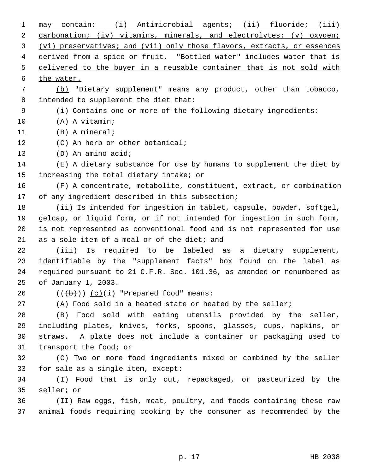| 1  | may contain: (i) Antimicrobial agents; (ii) fluoride; (iii)             |
|----|-------------------------------------------------------------------------|
| 2  | carbonation; (iv) vitamins, minerals, and electrolytes; (v) oxygen;     |
| 3  | (vi) preservatives; and (vii) only those flavors, extracts, or essences |
| 4  | derived from a spice or fruit. "Bottled water" includes water that is   |
| 5  | delivered to the buyer in a reusable container that is not sold with    |
| 6  | the water.                                                              |
| 7  | (b) "Dietary supplement" means any product, other than tobacco,         |
| 8  | intended to supplement the diet that:                                   |
| 9  | (i) Contains one or more of the following dietary ingredients:          |
| 10 | (A) A vitamin;                                                          |
| 11 | (B) A mineral;                                                          |
| 12 | (C) An herb or other botanical;                                         |
| 13 | (D) An amino acid;                                                      |
| 14 | (E) A dietary substance for use by humans to supplement the diet by     |
| 15 | increasing the total dietary intake; or                                 |
| 16 | (F) A concentrate, metabolite, constituent, extract, or combination     |
| 17 | of any ingredient described in this subsection;                         |
| 18 | (ii) Is intended for ingestion in tablet, capsule, powder, softgel,     |
| 19 | gelcap, or liquid form, or if not intended for ingestion in such form,  |
| 20 | is not represented as conventional food and is not represented for use  |
| 21 | as a sole item of a meal or of the diet; and                            |
| 22 | (iii) Is required to be labeled as a dietary supplement,                |
| 23 | identifiable by the "supplement facts" box found on the label as        |
| 24 | required pursuant to 21 C.F.R. Sec. 101.36, as amended or renumbered as |
| 25 | of January 1, 2003.                                                     |
| 26 | $((+b))$ $(c)(i)$ "Prepared food" means:                                |
| 27 | (A) Food sold in a heated state or heated by the seller;                |
| 28 | (B) Food sold with eating utensils provided by the seller,              |
| 29 | including plates, knives, forks, spoons, glasses, cups, napkins, or     |
| 30 | straws. A plate does not include a container or packaging used to       |
| 31 | transport the food; or                                                  |
| 32 | (C) Two or more food ingredients mixed or combined by the seller        |
| 33 | for sale as a single item, except:                                      |
| 34 | (I) Food that is only cut, repackaged, or pasteurized by the            |
| 35 | seller; or                                                              |
| 36 | (II) Raw eggs, fish, meat, poultry, and foods containing these raw      |
| 37 | animal foods requiring cooking by the consumer as recommended by the    |
|    |                                                                         |

p. 17 HB 2038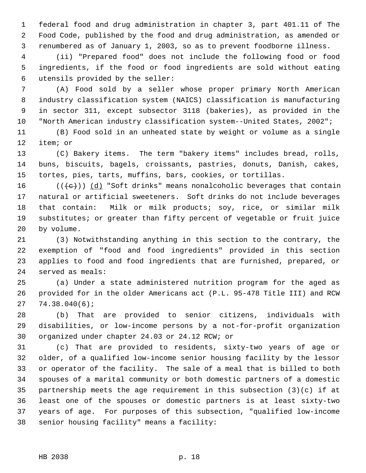1 federal food and drug administration in chapter 3, part 401.11 of The 2 Food Code, published by the food and drug administration, as amended or 3 renumbered as of January 1, 2003, so as to prevent foodborne illness.

 4 (ii) "Prepared food" does not include the following food or food 5 ingredients, if the food or food ingredients are sold without eating 6 utensils provided by the seller:

 7 (A) Food sold by a seller whose proper primary North American 8 industry classification system (NAICS) classification is manufacturing 9 in sector 311, except subsector 3118 (bakeries), as provided in the 10 "North American industry classification system--United States, 2002";

11 (B) Food sold in an unheated state by weight or volume as a single 12 item; or

13 (C) Bakery items. The term "bakery items" includes bread, rolls, 14 buns, biscuits, bagels, croissants, pastries, donuts, Danish, cakes, 15 tortes, pies, tarts, muffins, bars, cookies, or tortillas.

16 ( $(\langle e \rangle)$ ) (d) "Soft drinks" means nonalcoholic beverages that contain 17 natural or artificial sweeteners. Soft drinks do not include beverages 18 that contain: Milk or milk products; soy, rice, or similar milk 19 substitutes; or greater than fifty percent of vegetable or fruit juice 20 by volume.

21 (3) Notwithstanding anything in this section to the contrary, the 22 exemption of "food and food ingredients" provided in this section 23 applies to food and food ingredients that are furnished, prepared, or 24 served as meals:

25 (a) Under a state administered nutrition program for the aged as 26 provided for in the older Americans act (P.L. 95-478 Title III) and RCW 27 74.38.040(6);

28 (b) That are provided to senior citizens, individuals with 29 disabilities, or low-income persons by a not-for-profit organization 30 organized under chapter 24.03 or 24.12 RCW; or

31 (c) That are provided to residents, sixty-two years of age or 32 older, of a qualified low-income senior housing facility by the lessor 33 or operator of the facility. The sale of a meal that is billed to both 34 spouses of a marital community or both domestic partners of a domestic 35 partnership meets the age requirement in this subsection (3)(c) if at 36 least one of the spouses or domestic partners is at least sixty-two 37 years of age. For purposes of this subsection, "qualified low-income 38 senior housing facility" means a facility: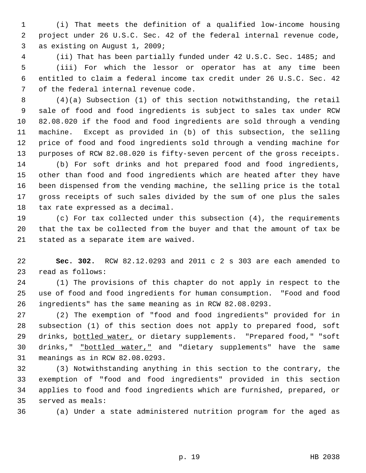1 (i) That meets the definition of a qualified low-income housing 2 project under 26 U.S.C. Sec. 42 of the federal internal revenue code, 3 as existing on August 1, 2009;

 4 (ii) That has been partially funded under 42 U.S.C. Sec. 1485; and 5 (iii) For which the lessor or operator has at any time been 6 entitled to claim a federal income tax credit under 26 U.S.C. Sec. 42 7 of the federal internal revenue code.

 8 (4)(a) Subsection (1) of this section notwithstanding, the retail 9 sale of food and food ingredients is subject to sales tax under RCW 10 82.08.020 if the food and food ingredients are sold through a vending 11 machine. Except as provided in (b) of this subsection, the selling 12 price of food and food ingredients sold through a vending machine for 13 purposes of RCW 82.08.020 is fifty-seven percent of the gross receipts.

14 (b) For soft drinks and hot prepared food and food ingredients, 15 other than food and food ingredients which are heated after they have 16 been dispensed from the vending machine, the selling price is the total 17 gross receipts of such sales divided by the sum of one plus the sales 18 tax rate expressed as a decimal.

19 (c) For tax collected under this subsection (4), the requirements 20 that the tax be collected from the buyer and that the amount of tax be 21 stated as a separate item are waived.

22 **Sec. 302.** RCW 82.12.0293 and 2011 c 2 s 303 are each amended to 23 read as follows:

24 (1) The provisions of this chapter do not apply in respect to the 25 use of food and food ingredients for human consumption. "Food and food 26 ingredients" has the same meaning as in RCW 82.08.0293.

27 (2) The exemption of "food and food ingredients" provided for in 28 subsection (1) of this section does not apply to prepared food, soft 29 drinks, bottled water, or dietary supplements. "Prepared food," "soft 30 drinks," "bottled water," and "dietary supplements" have the same 31 meanings as in RCW 82.08.0293.

32 (3) Notwithstanding anything in this section to the contrary, the 33 exemption of "food and food ingredients" provided in this section 34 applies to food and food ingredients which are furnished, prepared, or 35 served as meals:

36 (a) Under a state administered nutrition program for the aged as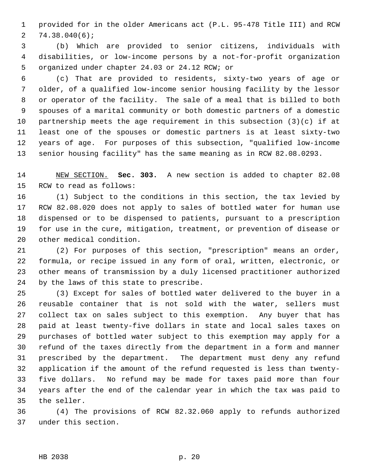1 provided for in the older Americans act (P.L. 95-478 Title III) and RCW 2 74.38.040(6);

 3 (b) Which are provided to senior citizens, individuals with 4 disabilities, or low-income persons by a not-for-profit organization 5 organized under chapter 24.03 or 24.12 RCW; or

 6 (c) That are provided to residents, sixty-two years of age or 7 older, of a qualified low-income senior housing facility by the lessor 8 or operator of the facility. The sale of a meal that is billed to both 9 spouses of a marital community or both domestic partners of a domestic 10 partnership meets the age requirement in this subsection (3)(c) if at 11 least one of the spouses or domestic partners is at least sixty-two 12 years of age. For purposes of this subsection, "qualified low-income 13 senior housing facility" has the same meaning as in RCW 82.08.0293.

14 NEW SECTION. **Sec. 303.** A new section is added to chapter 82.08 15 RCW to read as follows:

16 (1) Subject to the conditions in this section, the tax levied by 17 RCW 82.08.020 does not apply to sales of bottled water for human use 18 dispensed or to be dispensed to patients, pursuant to a prescription 19 for use in the cure, mitigation, treatment, or prevention of disease or 20 other medical condition.

21 (2) For purposes of this section, "prescription" means an order, 22 formula, or recipe issued in any form of oral, written, electronic, or 23 other means of transmission by a duly licensed practitioner authorized 24 by the laws of this state to prescribe.

25 (3) Except for sales of bottled water delivered to the buyer in a 26 reusable container that is not sold with the water, sellers must 27 collect tax on sales subject to this exemption. Any buyer that has 28 paid at least twenty-five dollars in state and local sales taxes on 29 purchases of bottled water subject to this exemption may apply for a 30 refund of the taxes directly from the department in a form and manner 31 prescribed by the department. The department must deny any refund 32 application if the amount of the refund requested is less than twenty-33 five dollars. No refund may be made for taxes paid more than four 34 years after the end of the calendar year in which the tax was paid to 35 the seller.

36 (4) The provisions of RCW 82.32.060 apply to refunds authorized 37 under this section.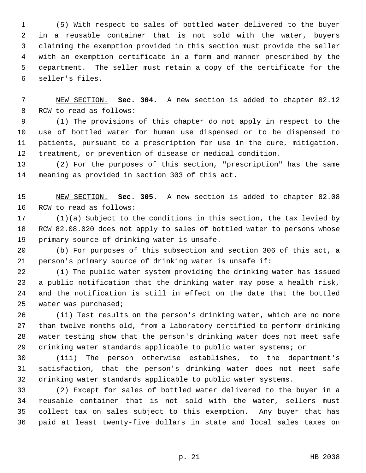1 (5) With respect to sales of bottled water delivered to the buyer 2 in a reusable container that is not sold with the water, buyers 3 claiming the exemption provided in this section must provide the seller 4 with an exemption certificate in a form and manner prescribed by the 5 department. The seller must retain a copy of the certificate for the 6 seller's files.

 7 NEW SECTION. **Sec. 304.** A new section is added to chapter 82.12 8 RCW to read as follows:

 9 (1) The provisions of this chapter do not apply in respect to the 10 use of bottled water for human use dispensed or to be dispensed to 11 patients, pursuant to a prescription for use in the cure, mitigation, 12 treatment, or prevention of disease or medical condition.

13 (2) For the purposes of this section, "prescription" has the same 14 meaning as provided in section 303 of this act.

15 NEW SECTION. **Sec. 305.** A new section is added to chapter 82.08 16 RCW to read as follows:

17 (1)(a) Subject to the conditions in this section, the tax levied by 18 RCW 82.08.020 does not apply to sales of bottled water to persons whose 19 primary source of drinking water is unsafe.

20 (b) For purposes of this subsection and section 306 of this act, a 21 person's primary source of drinking water is unsafe if:

22 (i) The public water system providing the drinking water has issued 23 a public notification that the drinking water may pose a health risk, 24 and the notification is still in effect on the date that the bottled 25 water was purchased;

26 (ii) Test results on the person's drinking water, which are no more 27 than twelve months old, from a laboratory certified to perform drinking 28 water testing show that the person's drinking water does not meet safe 29 drinking water standards applicable to public water systems; or

30 (iii) The person otherwise establishes, to the department's 31 satisfaction, that the person's drinking water does not meet safe 32 drinking water standards applicable to public water systems.

33 (2) Except for sales of bottled water delivered to the buyer in a 34 reusable container that is not sold with the water, sellers must 35 collect tax on sales subject to this exemption. Any buyer that has 36 paid at least twenty-five dollars in state and local sales taxes on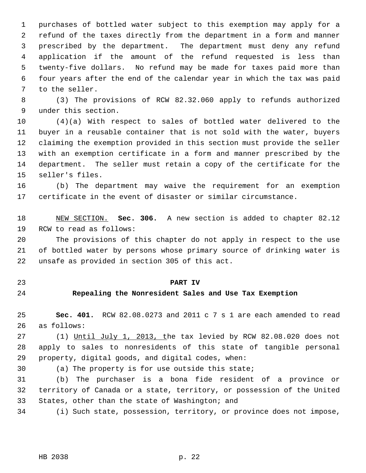1 purchases of bottled water subject to this exemption may apply for a 2 refund of the taxes directly from the department in a form and manner 3 prescribed by the department. The department must deny any refund 4 application if the amount of the refund requested is less than 5 twenty-five dollars. No refund may be made for taxes paid more than 6 four years after the end of the calendar year in which the tax was paid 7 to the seller.

 8 (3) The provisions of RCW 82.32.060 apply to refunds authorized 9 under this section.

10 (4)(a) With respect to sales of bottled water delivered to the 11 buyer in a reusable container that is not sold with the water, buyers 12 claiming the exemption provided in this section must provide the seller 13 with an exemption certificate in a form and manner prescribed by the 14 department. The seller must retain a copy of the certificate for the 15 seller's files.

16 (b) The department may waive the requirement for an exemption 17 certificate in the event of disaster or similar circumstance.

18 NEW SECTION. **Sec. 306.** A new section is added to chapter 82.12 19 RCW to read as follows:

20 The provisions of this chapter do not apply in respect to the use 21 of bottled water by persons whose primary source of drinking water is 22 unsafe as provided in section 305 of this act.

- 
- 

#### 23 **PART IV**

### 24 **Repealing the Nonresident Sales and Use Tax Exemption**

25 **Sec. 401.** RCW 82.08.0273 and 2011 c 7 s 1 are each amended to read 26 as follows:

27 (1) Until July 1, 2013, the tax levied by RCW 82.08.020 does not 28 apply to sales to nonresidents of this state of tangible personal 29 property, digital goods, and digital codes, when:

30 (a) The property is for use outside this state;

31 (b) The purchaser is a bona fide resident of a province or 32 territory of Canada or a state, territory, or possession of the United 33 States, other than the state of Washington; and

34 (i) Such state, possession, territory, or province does not impose,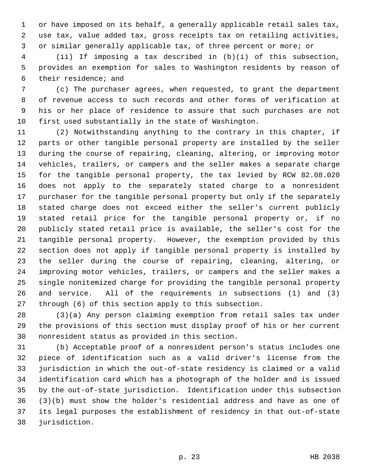1 or have imposed on its behalf, a generally applicable retail sales tax, 2 use tax, value added tax, gross receipts tax on retailing activities, 3 or similar generally applicable tax, of three percent or more; or

 4 (ii) If imposing a tax described in (b)(i) of this subsection, 5 provides an exemption for sales to Washington residents by reason of 6 their residence; and

 7 (c) The purchaser agrees, when requested, to grant the department 8 of revenue access to such records and other forms of verification at 9 his or her place of residence to assure that such purchases are not 10 first used substantially in the state of Washington.

11 (2) Notwithstanding anything to the contrary in this chapter, if 12 parts or other tangible personal property are installed by the seller 13 during the course of repairing, cleaning, altering, or improving motor 14 vehicles, trailers, or campers and the seller makes a separate charge 15 for the tangible personal property, the tax levied by RCW 82.08.020 16 does not apply to the separately stated charge to a nonresident 17 purchaser for the tangible personal property but only if the separately 18 stated charge does not exceed either the seller's current publicly 19 stated retail price for the tangible personal property or, if no 20 publicly stated retail price is available, the seller's cost for the 21 tangible personal property. However, the exemption provided by this 22 section does not apply if tangible personal property is installed by 23 the seller during the course of repairing, cleaning, altering, or 24 improving motor vehicles, trailers, or campers and the seller makes a 25 single nonitemized charge for providing the tangible personal property 26 and service. All of the requirements in subsections (1) and (3) 27 through (6) of this section apply to this subsection.

28 (3)(a) Any person claiming exemption from retail sales tax under 29 the provisions of this section must display proof of his or her current 30 nonresident status as provided in this section.

31 (b) Acceptable proof of a nonresident person's status includes one 32 piece of identification such as a valid driver's license from the 33 jurisdiction in which the out-of-state residency is claimed or a valid 34 identification card which has a photograph of the holder and is issued 35 by the out-of-state jurisdiction. Identification under this subsection 36 (3)(b) must show the holder's residential address and have as one of 37 its legal purposes the establishment of residency in that out-of-state 38 jurisdiction.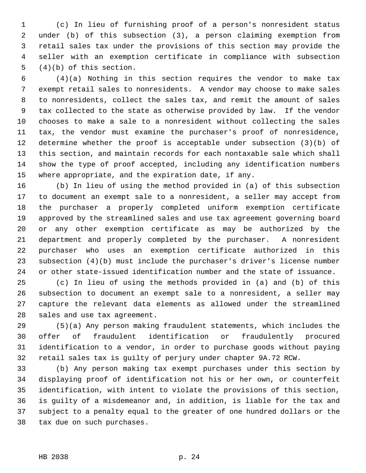1 (c) In lieu of furnishing proof of a person's nonresident status 2 under (b) of this subsection (3), a person claiming exemption from 3 retail sales tax under the provisions of this section may provide the 4 seller with an exemption certificate in compliance with subsection 5 (4)(b) of this section.

 6 (4)(a) Nothing in this section requires the vendor to make tax 7 exempt retail sales to nonresidents. A vendor may choose to make sales 8 to nonresidents, collect the sales tax, and remit the amount of sales 9 tax collected to the state as otherwise provided by law. If the vendor 10 chooses to make a sale to a nonresident without collecting the sales 11 tax, the vendor must examine the purchaser's proof of nonresidence, 12 determine whether the proof is acceptable under subsection (3)(b) of 13 this section, and maintain records for each nontaxable sale which shall 14 show the type of proof accepted, including any identification numbers 15 where appropriate, and the expiration date, if any.

16 (b) In lieu of using the method provided in (a) of this subsection 17 to document an exempt sale to a nonresident, a seller may accept from 18 the purchaser a properly completed uniform exemption certificate 19 approved by the streamlined sales and use tax agreement governing board 20 or any other exemption certificate as may be authorized by the 21 department and properly completed by the purchaser. A nonresident 22 purchaser who uses an exemption certificate authorized in this 23 subsection (4)(b) must include the purchaser's driver's license number 24 or other state-issued identification number and the state of issuance.

25 (c) In lieu of using the methods provided in (a) and (b) of this 26 subsection to document an exempt sale to a nonresident, a seller may 27 capture the relevant data elements as allowed under the streamlined 28 sales and use tax agreement.

29 (5)(a) Any person making fraudulent statements, which includes the 30 offer of fraudulent identification or fraudulently procured 31 identification to a vendor, in order to purchase goods without paying 32 retail sales tax is guilty of perjury under chapter 9A.72 RCW.

33 (b) Any person making tax exempt purchases under this section by 34 displaying proof of identification not his or her own, or counterfeit 35 identification, with intent to violate the provisions of this section, 36 is guilty of a misdemeanor and, in addition, is liable for the tax and 37 subject to a penalty equal to the greater of one hundred dollars or the 38 tax due on such purchases.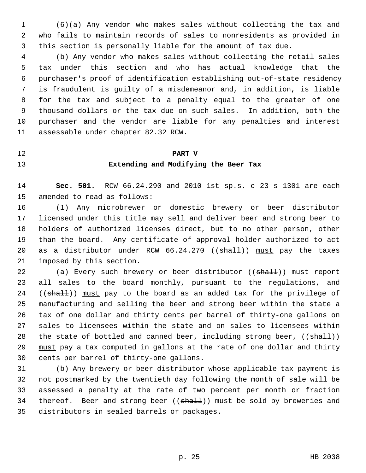1 (6)(a) Any vendor who makes sales without collecting the tax and 2 who fails to maintain records of sales to nonresidents as provided in 3 this section is personally liable for the amount of tax due.

 4 (b) Any vendor who makes sales without collecting the retail sales 5 tax under this section and who has actual knowledge that the 6 purchaser's proof of identification establishing out-of-state residency 7 is fraudulent is guilty of a misdemeanor and, in addition, is liable 8 for the tax and subject to a penalty equal to the greater of one 9 thousand dollars or the tax due on such sales. In addition, both the 10 purchaser and the vendor are liable for any penalties and interest 11 assessable under chapter 82.32 RCW.

#### 12 **PART V**

#### 13 **Extending and Modifying the Beer Tax**

14 **Sec. 501.** RCW 66.24.290 and 2010 1st sp.s. c 23 s 1301 are each 15 amended to read as follows:

16 (1) Any microbrewer or domestic brewery or beer distributor 17 licensed under this title may sell and deliver beer and strong beer to 18 holders of authorized licenses direct, but to no other person, other 19 than the board. Any certificate of approval holder authorized to act 20 as a distributor under RCW 66.24.270 ((shall)) must pay the taxes 21 imposed by this section.

22 (a) Every such brewery or beer distributor ((shall)) must report 23 all sales to the board monthly, pursuant to the regulations, and  $24$  ((shall)) must pay to the board as an added tax for the privilege of 25 manufacturing and selling the beer and strong beer within the state a 26 tax of one dollar and thirty cents per barrel of thirty-one gallons on 27 sales to licensees within the state and on sales to licensees within 28 the state of bottled and canned beer, including strong beer,  $((\text{shall}))$ 29 must pay a tax computed in gallons at the rate of one dollar and thirty 30 cents per barrel of thirty-one gallons.

31 (b) Any brewery or beer distributor whose applicable tax payment is 32 not postmarked by the twentieth day following the month of sale will be 33 assessed a penalty at the rate of two percent per month or fraction 34 thereof. Beer and strong beer ((shall)) must be sold by breweries and 35 distributors in sealed barrels or packages.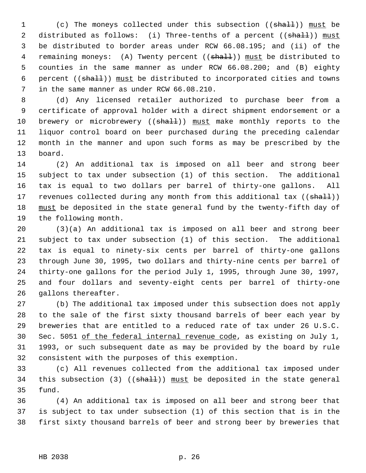1 (c) The moneys collected under this subsection ((shall)) must be 2 distributed as follows: (i) Three-tenths of a percent ((shall)) must 3 be distributed to border areas under RCW 66.08.195; and (ii) of the 4 remaining moneys: (A) Twenty percent ((shall)) must be distributed to 5 counties in the same manner as under RCW 66.08.200; and (B) eighty 6 percent ((shall)) must be distributed to incorporated cities and towns 7 in the same manner as under RCW 66.08.210.

 8 (d) Any licensed retailer authorized to purchase beer from a 9 certificate of approval holder with a direct shipment endorsement or a 10 brewery or microbrewery ((shall)) must make monthly reports to the 11 liquor control board on beer purchased during the preceding calendar 12 month in the manner and upon such forms as may be prescribed by the 13 board.

14 (2) An additional tax is imposed on all beer and strong beer 15 subject to tax under subsection (1) of this section. The additional 16 tax is equal to two dollars per barrel of thirty-one gallons. All 17 revenues collected during any month from this additional tax ((shall)) 18 must be deposited in the state general fund by the twenty-fifth day of 19 the following month.

20 (3)(a) An additional tax is imposed on all beer and strong beer 21 subject to tax under subsection (1) of this section. The additional 22 tax is equal to ninety-six cents per barrel of thirty-one gallons 23 through June 30, 1995, two dollars and thirty-nine cents per barrel of 24 thirty-one gallons for the period July 1, 1995, through June 30, 1997, 25 and four dollars and seventy-eight cents per barrel of thirty-one 26 gallons thereafter.

27 (b) The additional tax imposed under this subsection does not apply 28 to the sale of the first sixty thousand barrels of beer each year by 29 breweries that are entitled to a reduced rate of tax under 26 U.S.C. 30 Sec. 5051 of the federal internal revenue code, as existing on July 1, 31 1993, or such subsequent date as may be provided by the board by rule 32 consistent with the purposes of this exemption.

33 (c) All revenues collected from the additional tax imposed under 34 this subsection (3) ( $(\text{shalt})$ ) must be deposited in the state general 35 fund.

36 (4) An additional tax is imposed on all beer and strong beer that 37 is subject to tax under subsection (1) of this section that is in the 38 first sixty thousand barrels of beer and strong beer by breweries that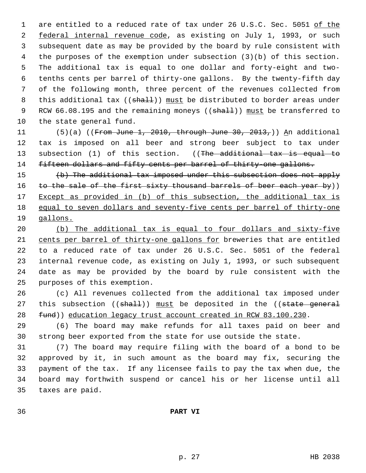1 are entitled to a reduced rate of tax under 26 U.S.C. Sec. 5051 of the 2 federal internal revenue code, as existing on July 1, 1993, or such 3 subsequent date as may be provided by the board by rule consistent with 4 the purposes of the exemption under subsection (3)(b) of this section. 5 The additional tax is equal to one dollar and forty-eight and two- 6 tenths cents per barrel of thirty-one gallons. By the twenty-fifth day 7 of the following month, three percent of the revenues collected from 8 this additional tax ((shall)) must be distributed to border areas under 9 RCW 66.08.195 and the remaining moneys (( $\frac{1}{2}$ ) must be transferred to 10 the state general fund.

11 (5)(a) ((From June 1, 2010, through June 30, 2013,)) An additional 12 tax is imposed on all beer and strong beer subject to tax under 13 subsection (1) of this section. ((The additional tax is equal to 14 fifteen dollars and fifty cents per barrel of thirty-one gallons.

15 (b) The additional tax imposed under this subsection does not apply 16 to the sale of the first sixty thousand barrels of beer each year by)) 17 Except as provided in (b) of this subsection, the additional tax is 18 equal to seven dollars and seventy-five cents per barrel of thirty-one 19 gallons.

20 (b) The additional tax is equal to four dollars and sixty-five 21 cents per barrel of thirty-one gallons for breweries that are entitled 22 to a reduced rate of tax under 26 U.S.C. Sec. 5051 of the federal 23 internal revenue code, as existing on July 1, 1993, or such subsequent 24 date as may be provided by the board by rule consistent with the 25 purposes of this exemption.

26 (c) All revenues collected from the additional tax imposed under 27 this subsection  $((shalt))$  must be deposited in the  $((state general$ 28 fund)) education legacy trust account created in RCW 83.100.230.

29 (6) The board may make refunds for all taxes paid on beer and 30 strong beer exported from the state for use outside the state.

31 (7) The board may require filing with the board of a bond to be 32 approved by it, in such amount as the board may fix, securing the 33 payment of the tax. If any licensee fails to pay the tax when due, the 34 board may forthwith suspend or cancel his or her license until all 35 taxes are paid.

36 **PART VI**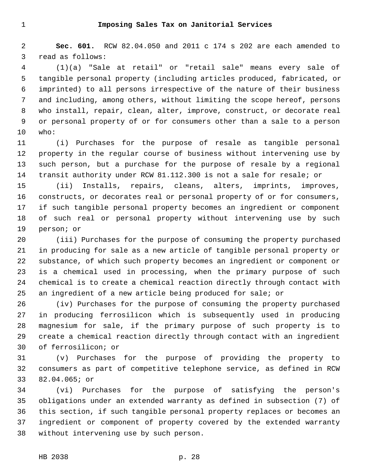2 **Sec. 601.** RCW 82.04.050 and 2011 c 174 s 202 are each amended to 3 read as follows:

 4 (1)(a) "Sale at retail" or "retail sale" means every sale of 5 tangible personal property (including articles produced, fabricated, or 6 imprinted) to all persons irrespective of the nature of their business 7 and including, among others, without limiting the scope hereof, persons 8 who install, repair, clean, alter, improve, construct, or decorate real 9 or personal property of or for consumers other than a sale to a person 10 who:

11 (i) Purchases for the purpose of resale as tangible personal 12 property in the regular course of business without intervening use by 13 such person, but a purchase for the purpose of resale by a regional 14 transit authority under RCW 81.112.300 is not a sale for resale; or

15 (ii) Installs, repairs, cleans, alters, imprints, improves, 16 constructs, or decorates real or personal property of or for consumers, 17 if such tangible personal property becomes an ingredient or component 18 of such real or personal property without intervening use by such 19 person; or

20 (iii) Purchases for the purpose of consuming the property purchased 21 in producing for sale as a new article of tangible personal property or 22 substance, of which such property becomes an ingredient or component or 23 is a chemical used in processing, when the primary purpose of such 24 chemical is to create a chemical reaction directly through contact with 25 an ingredient of a new article being produced for sale; or

26 (iv) Purchases for the purpose of consuming the property purchased 27 in producing ferrosilicon which is subsequently used in producing 28 magnesium for sale, if the primary purpose of such property is to 29 create a chemical reaction directly through contact with an ingredient 30 of ferrosilicon; or

31 (v) Purchases for the purpose of providing the property to 32 consumers as part of competitive telephone service, as defined in RCW 33 82.04.065; or

34 (vi) Purchases for the purpose of satisfying the person's 35 obligations under an extended warranty as defined in subsection (7) of 36 this section, if such tangible personal property replaces or becomes an 37 ingredient or component of property covered by the extended warranty 38 without intervening use by such person.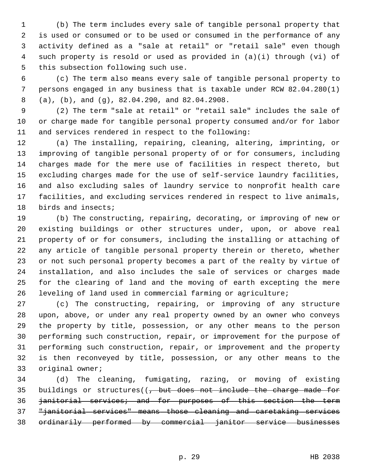1 (b) The term includes every sale of tangible personal property that 2 is used or consumed or to be used or consumed in the performance of any 3 activity defined as a "sale at retail" or "retail sale" even though 4 such property is resold or used as provided in (a)(i) through (vi) of 5 this subsection following such use.

 6 (c) The term also means every sale of tangible personal property to 7 persons engaged in any business that is taxable under RCW 82.04.280(1) 8 (a), (b), and (g), 82.04.290, and 82.04.2908.

 9 (2) The term "sale at retail" or "retail sale" includes the sale of 10 or charge made for tangible personal property consumed and/or for labor 11 and services rendered in respect to the following:

12 (a) The installing, repairing, cleaning, altering, imprinting, or 13 improving of tangible personal property of or for consumers, including 14 charges made for the mere use of facilities in respect thereto, but 15 excluding charges made for the use of self-service laundry facilities, 16 and also excluding sales of laundry service to nonprofit health care 17 facilities, and excluding services rendered in respect to live animals, 18 birds and insects;

19 (b) The constructing, repairing, decorating, or improving of new or 20 existing buildings or other structures under, upon, or above real 21 property of or for consumers, including the installing or attaching of 22 any article of tangible personal property therein or thereto, whether 23 or not such personal property becomes a part of the realty by virtue of 24 installation, and also includes the sale of services or charges made 25 for the clearing of land and the moving of earth excepting the mere 26 leveling of land used in commercial farming or agriculture;

27 (c) The constructing, repairing, or improving of any structure 28 upon, above, or under any real property owned by an owner who conveys 29 the property by title, possession, or any other means to the person 30 performing such construction, repair, or improvement for the purpose of 31 performing such construction, repair, or improvement and the property 32 is then reconveyed by title, possession, or any other means to the 33 original owner;

34 (d) The cleaning, fumigating, razing, or moving of existing 35 buildings or structures( $\left( \frac{1}{f} \right)$  but does not include the charge made for 36 janitorial services; and for purposes of this section the term 37 "janitorial services" means those cleaning and caretaking services 38 ordinarily performed by commercial janitor service businesses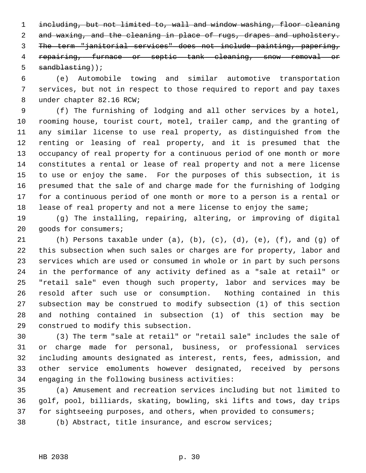1 including, but not limited to, wall and window washing, floor cleaning 2 and waxing, and the cleaning in place of rugs, drapes and upholstery. 3 The term "janitorial services" does not include painting, papering, 4 repairing, furnace or septic tank cleaning, snow removal or 5 sandblasting));

 6 (e) Automobile towing and similar automotive transportation 7 services, but not in respect to those required to report and pay taxes 8 under chapter 82.16 RCW;

 9 (f) The furnishing of lodging and all other services by a hotel, 10 rooming house, tourist court, motel, trailer camp, and the granting of 11 any similar license to use real property, as distinguished from the 12 renting or leasing of real property, and it is presumed that the 13 occupancy of real property for a continuous period of one month or more 14 constitutes a rental or lease of real property and not a mere license 15 to use or enjoy the same. For the purposes of this subsection, it is 16 presumed that the sale of and charge made for the furnishing of lodging 17 for a continuous period of one month or more to a person is a rental or 18 lease of real property and not a mere license to enjoy the same;

19 (g) The installing, repairing, altering, or improving of digital 20 goods for consumers;

21 (h) Persons taxable under (a), (b), (c), (d), (e), (f), and (g) of 22 this subsection when such sales or charges are for property, labor and 23 services which are used or consumed in whole or in part by such persons 24 in the performance of any activity defined as a "sale at retail" or 25 "retail sale" even though such property, labor and services may be 26 resold after such use or consumption. Nothing contained in this 27 subsection may be construed to modify subsection (1) of this section 28 and nothing contained in subsection (1) of this section may be 29 construed to modify this subsection.

30 (3) The term "sale at retail" or "retail sale" includes the sale of 31 or charge made for personal, business, or professional services 32 including amounts designated as interest, rents, fees, admission, and 33 other service emoluments however designated, received by persons 34 engaging in the following business activities:

35 (a) Amusement and recreation services including but not limited to 36 golf, pool, billiards, skating, bowling, ski lifts and tows, day trips 37 for sightseeing purposes, and others, when provided to consumers;

38 (b) Abstract, title insurance, and escrow services;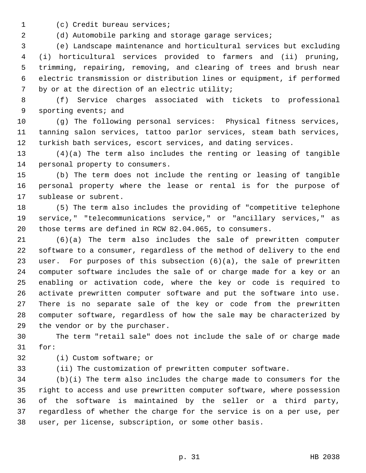1 (c) Credit bureau services;

2 (d) Automobile parking and storage garage services;

 3 (e) Landscape maintenance and horticultural services but excluding 4 (i) horticultural services provided to farmers and (ii) pruning, 5 trimming, repairing, removing, and clearing of trees and brush near 6 electric transmission or distribution lines or equipment, if performed 7 by or at the direction of an electric utility;

 8 (f) Service charges associated with tickets to professional 9 sporting events; and

10 (g) The following personal services: Physical fitness services, 11 tanning salon services, tattoo parlor services, steam bath services, 12 turkish bath services, escort services, and dating services.

13 (4)(a) The term also includes the renting or leasing of tangible 14 personal property to consumers.

15 (b) The term does not include the renting or leasing of tangible 16 personal property where the lease or rental is for the purpose of 17 sublease or subrent.

18 (5) The term also includes the providing of "competitive telephone 19 service," "telecommunications service," or "ancillary services," as 20 those terms are defined in RCW 82.04.065, to consumers.

21 (6)(a) The term also includes the sale of prewritten computer 22 software to a consumer, regardless of the method of delivery to the end 23 user. For purposes of this subsection (6)(a), the sale of prewritten 24 computer software includes the sale of or charge made for a key or an 25 enabling or activation code, where the key or code is required to 26 activate prewritten computer software and put the software into use. 27 There is no separate sale of the key or code from the prewritten 28 computer software, regardless of how the sale may be characterized by 29 the vendor or by the purchaser.

30 The term "retail sale" does not include the sale of or charge made 31 for:

32 (i) Custom software; or

33 (ii) The customization of prewritten computer software.

34 (b)(i) The term also includes the charge made to consumers for the 35 right to access and use prewritten computer software, where possession 36 of the software is maintained by the seller or a third party, 37 regardless of whether the charge for the service is on a per use, per 38 user, per license, subscription, or some other basis.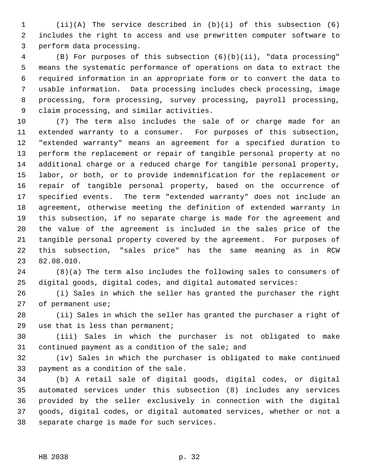1 (ii)(A) The service described in (b)(i) of this subsection (6) 2 includes the right to access and use prewritten computer software to 3 perform data processing.

 4 (B) For purposes of this subsection (6)(b)(ii), "data processing" 5 means the systematic performance of operations on data to extract the 6 required information in an appropriate form or to convert the data to 7 usable information. Data processing includes check processing, image 8 processing, form processing, survey processing, payroll processing, 9 claim processing, and similar activities.

10 (7) The term also includes the sale of or charge made for an 11 extended warranty to a consumer. For purposes of this subsection, 12 "extended warranty" means an agreement for a specified duration to 13 perform the replacement or repair of tangible personal property at no 14 additional charge or a reduced charge for tangible personal property, 15 labor, or both, or to provide indemnification for the replacement or 16 repair of tangible personal property, based on the occurrence of 17 specified events. The term "extended warranty" does not include an 18 agreement, otherwise meeting the definition of extended warranty in 19 this subsection, if no separate charge is made for the agreement and 20 the value of the agreement is included in the sales price of the 21 tangible personal property covered by the agreement. For purposes of 22 this subsection, "sales price" has the same meaning as in RCW 23 82.08.010.

24 (8)(a) The term also includes the following sales to consumers of 25 digital goods, digital codes, and digital automated services:

26 (i) Sales in which the seller has granted the purchaser the right 27 of permanent use;

28 (ii) Sales in which the seller has granted the purchaser a right of 29 use that is less than permanent;

30 (iii) Sales in which the purchaser is not obligated to make 31 continued payment as a condition of the sale; and

32 (iv) Sales in which the purchaser is obligated to make continued 33 payment as a condition of the sale.

34 (b) A retail sale of digital goods, digital codes, or digital 35 automated services under this subsection (8) includes any services 36 provided by the seller exclusively in connection with the digital 37 goods, digital codes, or digital automated services, whether or not a 38 separate charge is made for such services.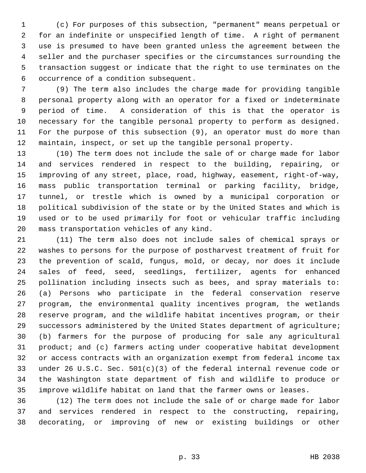1 (c) For purposes of this subsection, "permanent" means perpetual or 2 for an indefinite or unspecified length of time. A right of permanent 3 use is presumed to have been granted unless the agreement between the 4 seller and the purchaser specifies or the circumstances surrounding the 5 transaction suggest or indicate that the right to use terminates on the 6 occurrence of a condition subsequent.

 7 (9) The term also includes the charge made for providing tangible 8 personal property along with an operator for a fixed or indeterminate 9 period of time. A consideration of this is that the operator is 10 necessary for the tangible personal property to perform as designed. 11 For the purpose of this subsection (9), an operator must do more than 12 maintain, inspect, or set up the tangible personal property.

13 (10) The term does not include the sale of or charge made for labor 14 and services rendered in respect to the building, repairing, or 15 improving of any street, place, road, highway, easement, right-of-way, 16 mass public transportation terminal or parking facility, bridge, 17 tunnel, or trestle which is owned by a municipal corporation or 18 political subdivision of the state or by the United States and which is 19 used or to be used primarily for foot or vehicular traffic including 20 mass transportation vehicles of any kind.

21 (11) The term also does not include sales of chemical sprays or 22 washes to persons for the purpose of postharvest treatment of fruit for 23 the prevention of scald, fungus, mold, or decay, nor does it include 24 sales of feed, seed, seedlings, fertilizer, agents for enhanced 25 pollination including insects such as bees, and spray materials to: 26 (a) Persons who participate in the federal conservation reserve 27 program, the environmental quality incentives program, the wetlands 28 reserve program, and the wildlife habitat incentives program, or their 29 successors administered by the United States department of agriculture; 30 (b) farmers for the purpose of producing for sale any agricultural 31 product; and (c) farmers acting under cooperative habitat development 32 or access contracts with an organization exempt from federal income tax 33 under 26 U.S.C. Sec. 501(c)(3) of the federal internal revenue code or 34 the Washington state department of fish and wildlife to produce or 35 improve wildlife habitat on land that the farmer owns or leases.

36 (12) The term does not include the sale of or charge made for labor 37 and services rendered in respect to the constructing, repairing, 38 decorating, or improving of new or existing buildings or other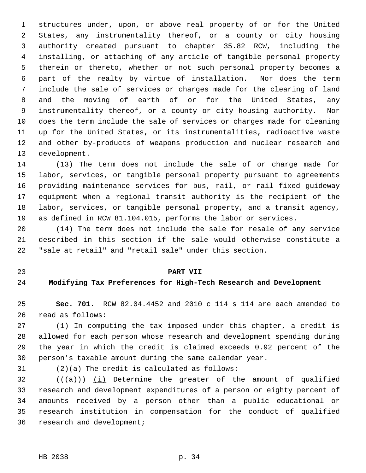1 structures under, upon, or above real property of or for the United 2 States, any instrumentality thereof, or a county or city housing 3 authority created pursuant to chapter 35.82 RCW, including the 4 installing, or attaching of any article of tangible personal property 5 therein or thereto, whether or not such personal property becomes a 6 part of the realty by virtue of installation. Nor does the term 7 include the sale of services or charges made for the clearing of land 8 and the moving of earth of or for the United States, any 9 instrumentality thereof, or a county or city housing authority. Nor 10 does the term include the sale of services or charges made for cleaning 11 up for the United States, or its instrumentalities, radioactive waste 12 and other by-products of weapons production and nuclear research and 13 development.

14 (13) The term does not include the sale of or charge made for 15 labor, services, or tangible personal property pursuant to agreements 16 providing maintenance services for bus, rail, or rail fixed guideway 17 equipment when a regional transit authority is the recipient of the 18 labor, services, or tangible personal property, and a transit agency, 19 as defined in RCW 81.104.015, performs the labor or services.

20 (14) The term does not include the sale for resale of any service 21 described in this section if the sale would otherwise constitute a 22 "sale at retail" and "retail sale" under this section.

#### 23 **PART VII**

#### 24 **Modifying Tax Preferences for High-Tech Research and Development**

25 **Sec. 701.** RCW 82.04.4452 and 2010 c 114 s 114 are each amended to 26 read as follows:

27 (1) In computing the tax imposed under this chapter, a credit is 28 allowed for each person whose research and development spending during 29 the year in which the credit is claimed exceeds 0.92 percent of the 30 person's taxable amount during the same calendar year.

31 (2)(a) The credit is calculated as follows:

32  $((+a))$  (i) Determine the greater of the amount of qualified 33 research and development expenditures of a person or eighty percent of 34 amounts received by a person other than a public educational or 35 research institution in compensation for the conduct of qualified 36 research and development;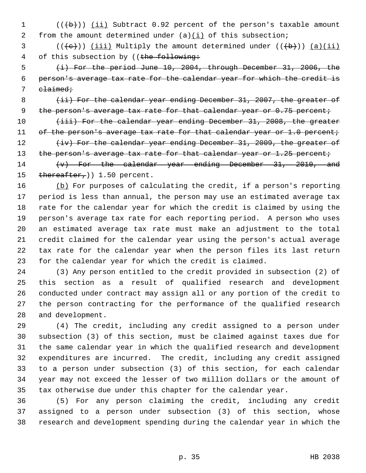1  $((\lbrace b \rbrace))$  (ii) Subtract 0.92 percent of the person's taxable amount 2 from the amount determined under  $(a)(i)$  of this subsection;

 $3$  (( $\left(\frac{1}{e}\right)$ ) (iii) Multiply the amount determined under (( $\left(\frac{1}{b}\right)$ ) (a)(ii) 4 of this subsection by ((the following:

 5 (i) For the period June 10, 2004, through December 31, 2006, the 6 person's average tax rate for the calendar year for which the credit is 7 elaimed;

8 (ii) For the calendar year ending December 31, 2007, the greater of 9 the person's average tax rate for that calendar year or 0.75 percent;

10 (iii) For the calendar year ending December 31, 2008, the greater 11 of the person's average tax rate for that calendar year or 1.0 percent; 12 (iv) For the calendar year ending December 31, 2009, the greater of

13 the person's average tax rate for that calendar year or 1.25 percent;

14  $\{v\}$  For the calendar year ending December 31, 2010, and 15 thereafter, 1.50 percent.

16 (b) For purposes of calculating the credit, if a person's reporting 17 period is less than annual, the person may use an estimated average tax 18 rate for the calendar year for which the credit is claimed by using the 19 person's average tax rate for each reporting period. A person who uses 20 an estimated average tax rate must make an adjustment to the total 21 credit claimed for the calendar year using the person's actual average 22 tax rate for the calendar year when the person files its last return 23 for the calendar year for which the credit is claimed.

24 (3) Any person entitled to the credit provided in subsection (2) of 25 this section as a result of qualified research and development 26 conducted under contract may assign all or any portion of the credit to 27 the person contracting for the performance of the qualified research 28 and development.

29 (4) The credit, including any credit assigned to a person under 30 subsection (3) of this section, must be claimed against taxes due for 31 the same calendar year in which the qualified research and development 32 expenditures are incurred. The credit, including any credit assigned 33 to a person under subsection (3) of this section, for each calendar 34 year may not exceed the lesser of two million dollars or the amount of 35 tax otherwise due under this chapter for the calendar year.

36 (5) For any person claiming the credit, including any credit 37 assigned to a person under subsection (3) of this section, whose 38 research and development spending during the calendar year in which the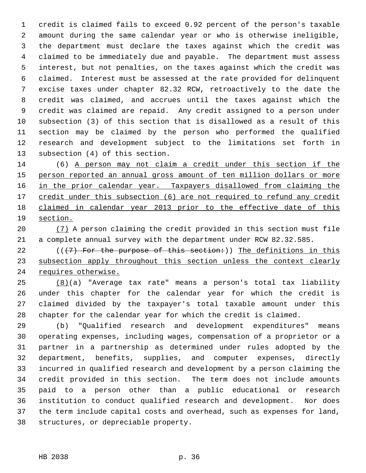1 credit is claimed fails to exceed 0.92 percent of the person's taxable 2 amount during the same calendar year or who is otherwise ineligible, 3 the department must declare the taxes against which the credit was 4 claimed to be immediately due and payable. The department must assess 5 interest, but not penalties, on the taxes against which the credit was 6 claimed. Interest must be assessed at the rate provided for delinquent 7 excise taxes under chapter 82.32 RCW, retroactively to the date the 8 credit was claimed, and accrues until the taxes against which the 9 credit was claimed are repaid. Any credit assigned to a person under 10 subsection (3) of this section that is disallowed as a result of this 11 section may be claimed by the person who performed the qualified 12 research and development subject to the limitations set forth in 13 subsection (4) of this section.

14 (6) A person may not claim a credit under this section if the 15 person reported an annual gross amount of ten million dollars or more 16 in the prior calendar year. Taxpayers disallowed from claiming the 17 credit under this subsection (6) are not required to refund any credit 18 claimed in calendar year 2013 prior to the effective date of this 19 section.

- 20 (7) A person claiming the credit provided in this section must file 21 a complete annual survey with the department under RCW 82.32.585.
- 22 ( $($  $($  $+7)$  For the purpose of this section:)) The definitions in this 23 subsection apply throughout this section unless the context clearly 24 requires otherwise.

25 (8)(a) "Average tax rate" means a person's total tax liability 26 under this chapter for the calendar year for which the credit is 27 claimed divided by the taxpayer's total taxable amount under this 28 chapter for the calendar year for which the credit is claimed.

29 (b) "Qualified research and development expenditures" means 30 operating expenses, including wages, compensation of a proprietor or a 31 partner in a partnership as determined under rules adopted by the 32 department, benefits, supplies, and computer expenses, directly 33 incurred in qualified research and development by a person claiming the 34 credit provided in this section. The term does not include amounts 35 paid to a person other than a public educational or research 36 institution to conduct qualified research and development. Nor does 37 the term include capital costs and overhead, such as expenses for land, 38 structures, or depreciable property.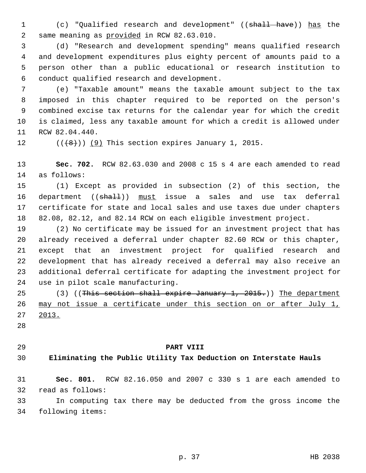1 (c) "Qualified research and development" ((shall have)) has the 2 same meaning as provided in RCW 82.63.010.

 3 (d) "Research and development spending" means qualified research 4 and development expenditures plus eighty percent of amounts paid to a 5 person other than a public educational or research institution to 6 conduct qualified research and development.

 7 (e) "Taxable amount" means the taxable amount subject to the tax 8 imposed in this chapter required to be reported on the person's 9 combined excise tax returns for the calendar year for which the credit 10 is claimed, less any taxable amount for which a credit is allowed under 11 RCW 82.04.440.

12  $((\{8\})$  (9) This section expires January 1, 2015.

13 **Sec. 702.** RCW 82.63.030 and 2008 c 15 s 4 are each amended to read 14 as follows:

15 (1) Except as provided in subsection (2) of this section, the 16 department ((shall)) must issue a sales and use tax deferral 17 certificate for state and local sales and use taxes due under chapters 18 82.08, 82.12, and 82.14 RCW on each eligible investment project.

19 (2) No certificate may be issued for an investment project that has 20 already received a deferral under chapter 82.60 RCW or this chapter, 21 except that an investment project for qualified research and 22 development that has already received a deferral may also receive an 23 additional deferral certificate for adapting the investment project for 24 use in pilot scale manufacturing.

25 (3) ((This section shall expire January 1, 2015.)) The department 26 may not issue a certificate under this section on or after July 1, 27 2013.

- 28
- 

#### 29 **PART VIII**

## 30 **Eliminating the Public Utility Tax Deduction on Interstate Hauls**

31 **Sec. 801.** RCW 82.16.050 and 2007 c 330 s 1 are each amended to 32 read as follows:

33 In computing tax there may be deducted from the gross income the 34 following items: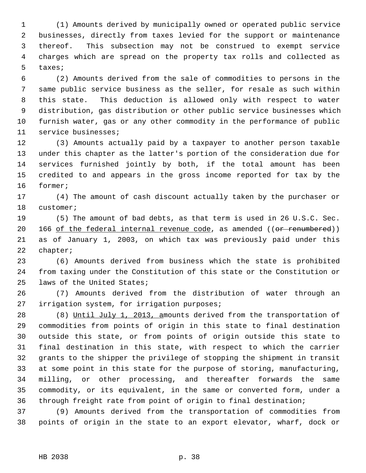1 (1) Amounts derived by municipally owned or operated public service 2 businesses, directly from taxes levied for the support or maintenance 3 thereof. This subsection may not be construed to exempt service 4 charges which are spread on the property tax rolls and collected as 5 taxes;

 6 (2) Amounts derived from the sale of commodities to persons in the 7 same public service business as the seller, for resale as such within 8 this state. This deduction is allowed only with respect to water 9 distribution, gas distribution or other public service businesses which 10 furnish water, gas or any other commodity in the performance of public 11 service businesses;

12 (3) Amounts actually paid by a taxpayer to another person taxable 13 under this chapter as the latter's portion of the consideration due for 14 services furnished jointly by both, if the total amount has been 15 credited to and appears in the gross income reported for tax by the 16 former;

17 (4) The amount of cash discount actually taken by the purchaser or 18 customer;

19 (5) The amount of bad debts, as that term is used in 26 U.S.C. Sec. 20 166 of the federal internal revenue code, as amended  $((or *remumbered*)))$ 21 as of January 1, 2003, on which tax was previously paid under this 22 chapter;

23 (6) Amounts derived from business which the state is prohibited 24 from taxing under the Constitution of this state or the Constitution or 25 laws of the United States;

26 (7) Amounts derived from the distribution of water through an 27 irrigation system, for irrigation purposes;

28 (8) Until July 1, 2013, amounts derived from the transportation of 29 commodities from points of origin in this state to final destination 30 outside this state, or from points of origin outside this state to 31 final destination in this state, with respect to which the carrier 32 grants to the shipper the privilege of stopping the shipment in transit 33 at some point in this state for the purpose of storing, manufacturing, 34 milling, or other processing, and thereafter forwards the same 35 commodity, or its equivalent, in the same or converted form, under a 36 through freight rate from point of origin to final destination;

37 (9) Amounts derived from the transportation of commodities from 38 points of origin in the state to an export elevator, wharf, dock or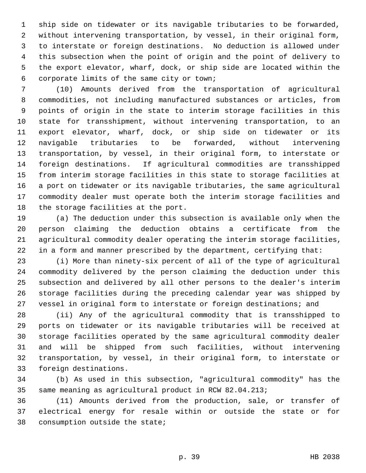1 ship side on tidewater or its navigable tributaries to be forwarded, 2 without intervening transportation, by vessel, in their original form, 3 to interstate or foreign destinations. No deduction is allowed under 4 this subsection when the point of origin and the point of delivery to 5 the export elevator, wharf, dock, or ship side are located within the 6 corporate limits of the same city or town;

 7 (10) Amounts derived from the transportation of agricultural 8 commodities, not including manufactured substances or articles, from 9 points of origin in the state to interim storage facilities in this 10 state for transshipment, without intervening transportation, to an 11 export elevator, wharf, dock, or ship side on tidewater or its 12 navigable tributaries to be forwarded, without intervening 13 transportation, by vessel, in their original form, to interstate or 14 foreign destinations. If agricultural commodities are transshipped 15 from interim storage facilities in this state to storage facilities at 16 a port on tidewater or its navigable tributaries, the same agricultural 17 commodity dealer must operate both the interim storage facilities and 18 the storage facilities at the port.

19 (a) The deduction under this subsection is available only when the 20 person claiming the deduction obtains a certificate from the 21 agricultural commodity dealer operating the interim storage facilities, 22 in a form and manner prescribed by the department, certifying that:

23 (i) More than ninety-six percent of all of the type of agricultural 24 commodity delivered by the person claiming the deduction under this 25 subsection and delivered by all other persons to the dealer's interim 26 storage facilities during the preceding calendar year was shipped by 27 vessel in original form to interstate or foreign destinations; and

28 (ii) Any of the agricultural commodity that is transshipped to 29 ports on tidewater or its navigable tributaries will be received at 30 storage facilities operated by the same agricultural commodity dealer 31 and will be shipped from such facilities, without intervening 32 transportation, by vessel, in their original form, to interstate or 33 foreign destinations.

34 (b) As used in this subsection, "agricultural commodity" has the 35 same meaning as agricultural product in RCW 82.04.213;

36 (11) Amounts derived from the production, sale, or transfer of 37 electrical energy for resale within or outside the state or for 38 consumption outside the state;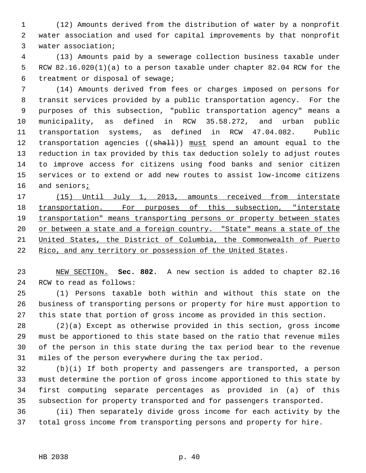1 (12) Amounts derived from the distribution of water by a nonprofit 2 water association and used for capital improvements by that nonprofit 3 water association;

 4 (13) Amounts paid by a sewerage collection business taxable under 5 RCW 82.16.020(1)(a) to a person taxable under chapter 82.04 RCW for the 6 treatment or disposal of sewage;

 7 (14) Amounts derived from fees or charges imposed on persons for 8 transit services provided by a public transportation agency. For the 9 purposes of this subsection, "public transportation agency" means a 10 municipality, as defined in RCW 35.58.272, and urban public 11 transportation systems, as defined in RCW 47.04.082. Public 12 transportation agencies ((shall)) must spend an amount equal to the 13 reduction in tax provided by this tax deduction solely to adjust routes 14 to improve access for citizens using food banks and senior citizen 15 services or to extend or add new routes to assist low-income citizens 16 and seniors;

 (15) Until July 1, 2013, amounts received from interstate 18 transportation. For purposes of this subsection, "interstate transportation" means transporting persons or property between states 20 or between a state and a foreign country. "State" means a state of the United States, the District of Columbia, the Commonwealth of Puerto Rico, and any territory or possession of the United States.

23 NEW SECTION. **Sec. 802.** A new section is added to chapter 82.16 24 RCW to read as follows:

25 (1) Persons taxable both within and without this state on the 26 business of transporting persons or property for hire must apportion to 27 this state that portion of gross income as provided in this section.

28 (2)(a) Except as otherwise provided in this section, gross income 29 must be apportioned to this state based on the ratio that revenue miles 30 of the person in this state during the tax period bear to the revenue 31 miles of the person everywhere during the tax period.

32 (b)(i) If both property and passengers are transported, a person 33 must determine the portion of gross income apportioned to this state by 34 first computing separate percentages as provided in (a) of this 35 subsection for property transported and for passengers transported.

36 (ii) Then separately divide gross income for each activity by the 37 total gross income from transporting persons and property for hire.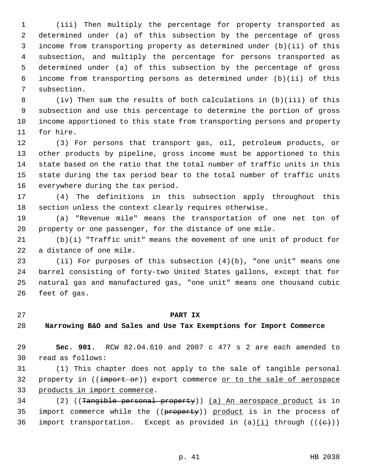1 (iii) Then multiply the percentage for property transported as 2 determined under (a) of this subsection by the percentage of gross 3 income from transporting property as determined under (b)(ii) of this 4 subsection, and multiply the percentage for persons transported as 5 determined under (a) of this subsection by the percentage of gross 6 income from transporting persons as determined under (b)(ii) of this 7 subsection.

 8 (iv) Then sum the results of both calculations in (b)(iii) of this 9 subsection and use this percentage to determine the portion of gross 10 income apportioned to this state from transporting persons and property 11 for hire.

12 (3) For persons that transport gas, oil, petroleum products, or 13 other products by pipeline, gross income must be apportioned to this 14 state based on the ratio that the total number of traffic units in this 15 state during the tax period bear to the total number of traffic units 16 everywhere during the tax period.

17 (4) The definitions in this subsection apply throughout this 18 section unless the context clearly requires otherwise.

19 (a) "Revenue mile" means the transportation of one net ton of 20 property or one passenger, for the distance of one mile.

21 (b)(i) "Traffic unit" means the movement of one unit of product for 22 a distance of one mile.

23 (ii) For purposes of this subsection (4)(b), "one unit" means one 24 barrel consisting of forty-two United States gallons, except that for 25 natural gas and manufactured gas, "one unit" means one thousand cubic 26 feet of gas.

#### 27 **PART IX**

#### 28 **Narrowing B&O and Sales and Use Tax Exemptions for Import Commerce**

29 **Sec. 901.** RCW 82.04.610 and 2007 c 477 s 2 are each amended to 30 read as follows:

31 (1) This chapter does not apply to the sale of tangible personal 32 property in (( $\frac{1}{2}$  )) export commerce or to the sale of aerospace 33 products in import commerce.

34 (2) ((Tangible personal property)) (a) An aerospace product is in 35 import commerce while the ((property)) product is in the process of 36 import transportation. Except as provided in  $(a)$  (i) through  $((e+))$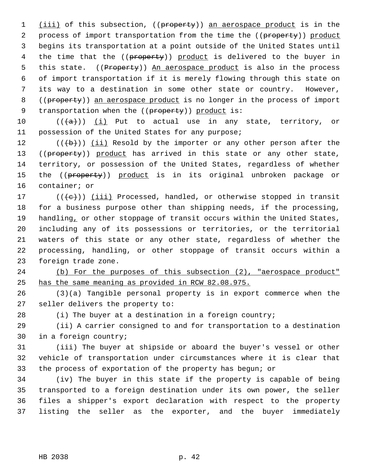1 (iii) of this subsection, ((property)) an aerospace product is in the 2 process of import transportation from the time the ((property)) product 3 begins its transportation at a point outside of the United States until 4 the time that the ((property)) product is delivered to the buyer in 5 this state. ((Property)) An aerospace product is also in the process 6 of import transportation if it is merely flowing through this state on 7 its way to a destination in some other state or country. However, 8 ((property)) an aerospace product is no longer in the process of import 9 transportation when the ((property)) product is:

10  $((+a))$  (i) Put to actual use in any state, territory, or 11 possession of the United States for any purpose;

12  $((\n+ b))$  (ii) Resold by the importer or any other person after the 13 ((property)) product has arrived in this state or any other state, 14 territory, or possession of the United States, regardless of whether 15 the ((property)) product is in its original unbroken package or 16 container; or

17 ( $(\langle e \rangle)$ ) (iii) Processed, handled, or otherwise stopped in transit 18 for a business purpose other than shipping needs, if the processing, 19 handling, or other stoppage of transit occurs within the United States, 20 including any of its possessions or territories, or the territorial 21 waters of this state or any other state, regardless of whether the 22 processing, handling, or other stoppage of transit occurs within a 23 foreign trade zone.

24 (b) For the purposes of this subsection (2), "aerospace product" 25 has the same meaning as provided in RCW 82.08.975.

26 (3)(a) Tangible personal property is in export commerce when the 27 seller delivers the property to:

28 (i) The buyer at a destination in a foreign country;

29 (ii) A carrier consigned to and for transportation to a destination 30 in a foreign country;

31 (iii) The buyer at shipside or aboard the buyer's vessel or other 32 vehicle of transportation under circumstances where it is clear that 33 the process of exportation of the property has begun; or

34 (iv) The buyer in this state if the property is capable of being 35 transported to a foreign destination under its own power, the seller 36 files a shipper's export declaration with respect to the property 37 listing the seller as the exporter, and the buyer immediately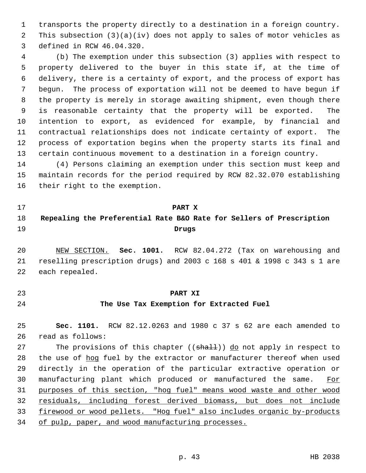1 transports the property directly to a destination in a foreign country. 2 This subsection (3)(a)(iv) does not apply to sales of motor vehicles as 3 defined in RCW 46.04.320.

 4 (b) The exemption under this subsection (3) applies with respect to 5 property delivered to the buyer in this state if, at the time of 6 delivery, there is a certainty of export, and the process of export has 7 begun. The process of exportation will not be deemed to have begun if 8 the property is merely in storage awaiting shipment, even though there 9 is reasonable certainty that the property will be exported. The 10 intention to export, as evidenced for example, by financial and 11 contractual relationships does not indicate certainty of export. The 12 process of exportation begins when the property starts its final and 13 certain continuous movement to a destination in a foreign country.

14 (4) Persons claiming an exemption under this section must keep and 15 maintain records for the period required by RCW 82.32.070 establishing 16 their right to the exemption.

- 17 **PART X**
- 

# 18 **Repealing the Preferential Rate B&O Rate for Sellers of Prescription** 19 **Drugs**

20 NEW SECTION. **Sec. 1001.** RCW 82.04.272 (Tax on warehousing and 21 reselling prescription drugs) and 2003 c 168 s 401 & 1998 c 343 s 1 are 22 each repealed.

- 
- 

#### 23 **PART XI**

#### 24 **The Use Tax Exemption for Extracted Fuel**

25 **Sec. 1101.** RCW 82.12.0263 and 1980 c 37 s 62 are each amended to 26 read as follows:

27 The provisions of this chapter ((shall)) do not apply in respect to 28 the use of hog fuel by the extractor or manufacturer thereof when used 29 directly in the operation of the particular extractive operation or 30 manufacturing plant which produced or manufactured the same. For 31 purposes of this section, "hog fuel" means wood waste and other wood 32 residuals, including forest derived biomass, but does not include 33 firewood or wood pellets. "Hog fuel" also includes organic by-products 34 of pulp, paper, and wood manufacturing processes.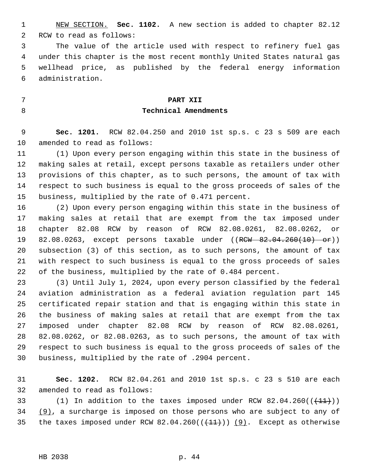1 NEW SECTION. **Sec. 1102.** A new section is added to chapter 82.12 2 RCW to read as follows:

 3 The value of the article used with respect to refinery fuel gas 4 under this chapter is the most recent monthly United States natural gas 5 wellhead price, as published by the federal energy information 6 administration.

## 7 **PART XII** 8 **Technical Amendments**

 9 **Sec. 1201.** RCW 82.04.250 and 2010 1st sp.s. c 23 s 509 are each 10 amended to read as follows:

11 (1) Upon every person engaging within this state in the business of 12 making sales at retail, except persons taxable as retailers under other 13 provisions of this chapter, as to such persons, the amount of tax with 14 respect to such business is equal to the gross proceeds of sales of the 15 business, multiplied by the rate of 0.471 percent.

16 (2) Upon every person engaging within this state in the business of 17 making sales at retail that are exempt from the tax imposed under 18 chapter 82.08 RCW by reason of RCW 82.08.0261, 82.08.0262, or 19 82.08.0263, except persons taxable under ((RCW 82.04.260(10) or)) 20 subsection (3) of this section, as to such persons, the amount of tax 21 with respect to such business is equal to the gross proceeds of sales 22 of the business, multiplied by the rate of 0.484 percent.

23 (3) Until July 1, 2024, upon every person classified by the federal 24 aviation administration as a federal aviation regulation part 145 25 certificated repair station and that is engaging within this state in 26 the business of making sales at retail that are exempt from the tax 27 imposed under chapter 82.08 RCW by reason of RCW 82.08.0261, 28 82.08.0262, or 82.08.0263, as to such persons, the amount of tax with 29 respect to such business is equal to the gross proceeds of sales of the 30 business, multiplied by the rate of .2904 percent.

31 **Sec. 1202.** RCW 82.04.261 and 2010 1st sp.s. c 23 s 510 are each 32 amended to read as follows:

33 (1) In addition to the taxes imposed under RCW  $82.04.260((\text{+11})))$ 34 (9), a surcharge is imposed on those persons who are subject to any of 35 the taxes imposed under RCW 82.04.260( $(\frac{11}{1})$ ) (9). Except as otherwise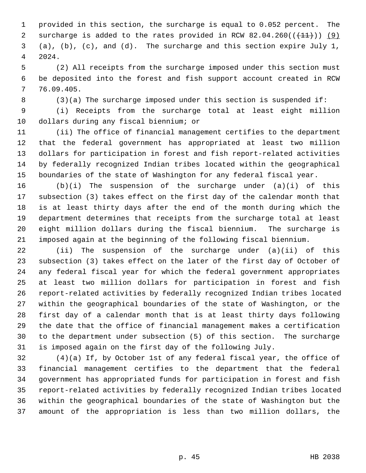1 provided in this section, the surcharge is equal to 0.052 percent. The 2 surcharge is added to the rates provided in RCW  $82.04.260((\text{+1})$ ) (9) 3 (a), (b), (c), and (d). The surcharge and this section expire July 1, 4 2024.

 5 (2) All receipts from the surcharge imposed under this section must 6 be deposited into the forest and fish support account created in RCW 7 76.09.405.

8 (3)(a) The surcharge imposed under this section is suspended if:

 9 (i) Receipts from the surcharge total at least eight million 10 dollars during any fiscal biennium; or

11 (ii) The office of financial management certifies to the department 12 that the federal government has appropriated at least two million 13 dollars for participation in forest and fish report-related activities 14 by federally recognized Indian tribes located within the geographical 15 boundaries of the state of Washington for any federal fiscal year.

16 (b)(i) The suspension of the surcharge under (a)(i) of this 17 subsection (3) takes effect on the first day of the calendar month that 18 is at least thirty days after the end of the month during which the 19 department determines that receipts from the surcharge total at least 20 eight million dollars during the fiscal biennium. The surcharge is 21 imposed again at the beginning of the following fiscal biennium.

22 (ii) The suspension of the surcharge under (a)(ii) of this 23 subsection (3) takes effect on the later of the first day of October of 24 any federal fiscal year for which the federal government appropriates 25 at least two million dollars for participation in forest and fish 26 report-related activities by federally recognized Indian tribes located 27 within the geographical boundaries of the state of Washington, or the 28 first day of a calendar month that is at least thirty days following 29 the date that the office of financial management makes a certification 30 to the department under subsection (5) of this section. The surcharge 31 is imposed again on the first day of the following July.

32 (4)(a) If, by October 1st of any federal fiscal year, the office of 33 financial management certifies to the department that the federal 34 government has appropriated funds for participation in forest and fish 35 report-related activities by federally recognized Indian tribes located 36 within the geographical boundaries of the state of Washington but the 37 amount of the appropriation is less than two million dollars, the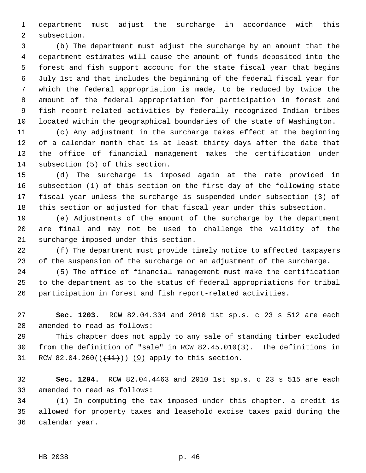1 department must adjust the surcharge in accordance with this 2 subsection.

 3 (b) The department must adjust the surcharge by an amount that the 4 department estimates will cause the amount of funds deposited into the 5 forest and fish support account for the state fiscal year that begins 6 July 1st and that includes the beginning of the federal fiscal year for 7 which the federal appropriation is made, to be reduced by twice the 8 amount of the federal appropriation for participation in forest and 9 fish report-related activities by federally recognized Indian tribes 10 located within the geographical boundaries of the state of Washington.

11 (c) Any adjustment in the surcharge takes effect at the beginning 12 of a calendar month that is at least thirty days after the date that 13 the office of financial management makes the certification under 14 subsection (5) of this section.

15 (d) The surcharge is imposed again at the rate provided in 16 subsection (1) of this section on the first day of the following state 17 fiscal year unless the surcharge is suspended under subsection (3) of 18 this section or adjusted for that fiscal year under this subsection.

19 (e) Adjustments of the amount of the surcharge by the department 20 are final and may not be used to challenge the validity of the 21 surcharge imposed under this section.

22 (f) The department must provide timely notice to affected taxpayers 23 of the suspension of the surcharge or an adjustment of the surcharge.

24 (5) The office of financial management must make the certification 25 to the department as to the status of federal appropriations for tribal 26 participation in forest and fish report-related activities.

27 **Sec. 1203.** RCW 82.04.334 and 2010 1st sp.s. c 23 s 512 are each 28 amended to read as follows:

29 This chapter does not apply to any sale of standing timber excluded 30 from the definition of "sale" in RCW 82.45.010(3). The definitions in 31 RCW 82.04.260( $(41)$ )) (9) apply to this section.

32 **Sec. 1204.** RCW 82.04.4463 and 2010 1st sp.s. c 23 s 515 are each 33 amended to read as follows:

34 (1) In computing the tax imposed under this chapter, a credit is 35 allowed for property taxes and leasehold excise taxes paid during the 36 calendar year.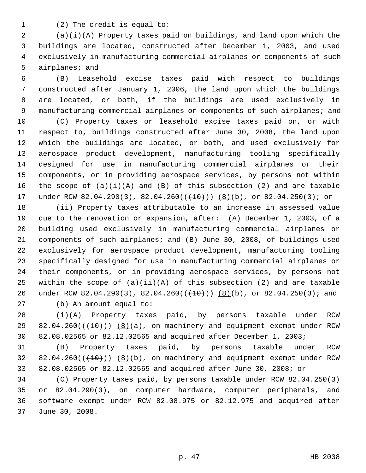1 (2) The credit is equal to:

 2 (a)(i)(A) Property taxes paid on buildings, and land upon which the 3 buildings are located, constructed after December 1, 2003, and used 4 exclusively in manufacturing commercial airplanes or components of such 5 airplanes; and

 6 (B) Leasehold excise taxes paid with respect to buildings 7 constructed after January 1, 2006, the land upon which the buildings 8 are located, or both, if the buildings are used exclusively in 9 manufacturing commercial airplanes or components of such airplanes; and

10 (C) Property taxes or leasehold excise taxes paid on, or with 11 respect to, buildings constructed after June 30, 2008, the land upon 12 which the buildings are located, or both, and used exclusively for 13 aerospace product development, manufacturing tooling specifically 14 designed for use in manufacturing commercial airplanes or their 15 components, or in providing aerospace services, by persons not within 16 the scope of  $(a)(i)(A)$  and  $(B)$  of this subsection  $(2)$  and are taxable 17 under RCW 82.04.290(3), 82.04.260( $(\frac{10}{10})$ ) (8)(b), or 82.04.250(3); or

18 (ii) Property taxes attributable to an increase in assessed value 19 due to the renovation or expansion, after: (A) December 1, 2003, of a 20 building used exclusively in manufacturing commercial airplanes or 21 components of such airplanes; and (B) June 30, 2008, of buildings used 22 exclusively for aerospace product development, manufacturing tooling 23 specifically designed for use in manufacturing commercial airplanes or 24 their components, or in providing aerospace services, by persons not 25 within the scope of  $(a)(ii)(A)$  of this subsection  $(2)$  and are taxable 26 under RCW 82.04.290(3), 82.04.260( $(\frac{10}{10})$ ) (8)(b), or 82.04.250(3); and

27 (b) An amount equal to:

28 (i)(A) Property taxes paid, by persons taxable under RCW 29  $82.04.260((+10))$  (8)(a), on machinery and equipment exempt under RCW 30 82.08.02565 or 82.12.02565 and acquired after December 1, 2003;

31 (B) Property taxes paid, by persons taxable under RCW  $32$   $82.04.260((+10))$   $(8)(b)$ , on machinery and equipment exempt under RCW 33 82.08.02565 or 82.12.02565 and acquired after June 30, 2008; or

34 (C) Property taxes paid, by persons taxable under RCW 82.04.250(3) 35 or 82.04.290(3), on computer hardware, computer peripherals, and 36 software exempt under RCW 82.08.975 or 82.12.975 and acquired after 37 June 30, 2008.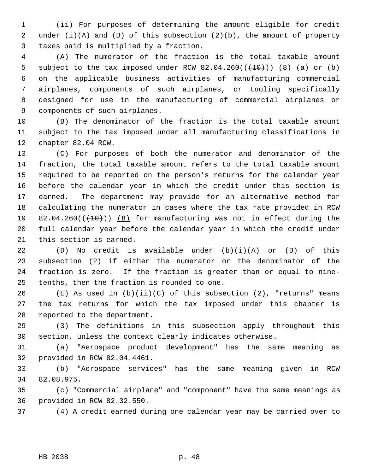1 (ii) For purposes of determining the amount eligible for credit 2 under (i)(A) and (B) of this subsection (2)(b), the amount of property 3 taxes paid is multiplied by a fraction.

 4 (A) The numerator of the fraction is the total taxable amount 5 subject to the tax imposed under RCW  $82.04.260((\text{+}10))$   $(8)$  (a) or (b) 6 on the applicable business activities of manufacturing commercial 7 airplanes, components of such airplanes, or tooling specifically 8 designed for use in the manufacturing of commercial airplanes or 9 components of such airplanes.

10 (B) The denominator of the fraction is the total taxable amount 11 subject to the tax imposed under all manufacturing classifications in 12 chapter 82.04 RCW.

13 (C) For purposes of both the numerator and denominator of the 14 fraction, the total taxable amount refers to the total taxable amount 15 required to be reported on the person's returns for the calendar year 16 before the calendar year in which the credit under this section is 17 earned. The department may provide for an alternative method for 18 calculating the numerator in cases where the tax rate provided in RCW 19 82.04.260 $((+10))$  (8) for manufacturing was not in effect during the 20 full calendar year before the calendar year in which the credit under 21 this section is earned.

22 (D) No credit is available under (b)(i)(A) or (B) of this 23 subsection (2) if either the numerator or the denominator of the 24 fraction is zero. If the fraction is greater than or equal to nine-25 tenths, then the fraction is rounded to one.

26  $(E)$  As used in (b)(ii)(C) of this subsection (2), "returns" means 27 the tax returns for which the tax imposed under this chapter is 28 reported to the department.

29 (3) The definitions in this subsection apply throughout this 30 section, unless the context clearly indicates otherwise.

31 (a) "Aerospace product development" has the same meaning as 32 provided in RCW 82.04.4461.

33 (b) "Aerospace services" has the same meaning given in RCW 34 82.08.975.

35 (c) "Commercial airplane" and "component" have the same meanings as 36 provided in RCW 82.32.550.

37 (4) A credit earned during one calendar year may be carried over to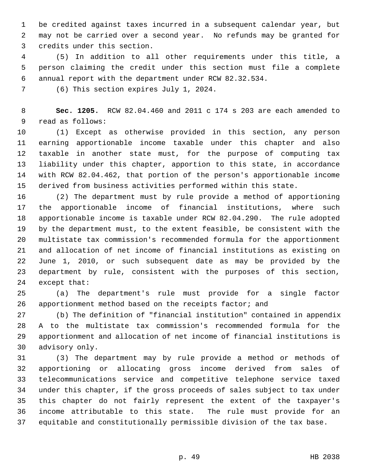1 be credited against taxes incurred in a subsequent calendar year, but 2 may not be carried over a second year. No refunds may be granted for 3 credits under this section.

 4 (5) In addition to all other requirements under this title, a 5 person claiming the credit under this section must file a complete 6 annual report with the department under RCW 82.32.534.

7 (6) This section expires July 1, 2024.

 8 **Sec. 1205.** RCW 82.04.460 and 2011 c 174 s 203 are each amended to 9 read as follows:

10 (1) Except as otherwise provided in this section, any person 11 earning apportionable income taxable under this chapter and also 12 taxable in another state must, for the purpose of computing tax 13 liability under this chapter, apportion to this state, in accordance 14 with RCW 82.04.462, that portion of the person's apportionable income 15 derived from business activities performed within this state.

16 (2) The department must by rule provide a method of apportioning 17 the apportionable income of financial institutions, where such 18 apportionable income is taxable under RCW 82.04.290. The rule adopted 19 by the department must, to the extent feasible, be consistent with the 20 multistate tax commission's recommended formula for the apportionment 21 and allocation of net income of financial institutions as existing on 22 June 1, 2010, or such subsequent date as may be provided by the 23 department by rule, consistent with the purposes of this section, 24 except that:

25 (a) The department's rule must provide for a single factor 26 apportionment method based on the receipts factor; and

27 (b) The definition of "financial institution" contained in appendix 28 A to the multistate tax commission's recommended formula for the 29 apportionment and allocation of net income of financial institutions is 30 advisory only.

31 (3) The department may by rule provide a method or methods of 32 apportioning or allocating gross income derived from sales of 33 telecommunications service and competitive telephone service taxed 34 under this chapter, if the gross proceeds of sales subject to tax under 35 this chapter do not fairly represent the extent of the taxpayer's 36 income attributable to this state. The rule must provide for an 37 equitable and constitutionally permissible division of the tax base.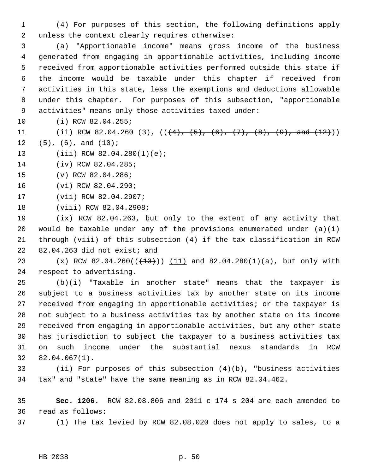1 (4) For purposes of this section, the following definitions apply 2 unless the context clearly requires otherwise:

 3 (a) "Apportionable income" means gross income of the business 4 generated from engaging in apportionable activities, including income 5 received from apportionable activities performed outside this state if 6 the income would be taxable under this chapter if received from 7 activities in this state, less the exemptions and deductions allowable 8 under this chapter. For purposes of this subsection, "apportionable 9 activities" means only those activities taxed under:

- 10 (i) RCW 82.04.255;
- 11 (ii) RCW 82.04.260 (3),  $((+4), (+5), (+6), (+7), (+8), (+9),$  and  $(12)$ ))
- $12$   $(5)$ ,  $(6)$ , and  $(10)$ ;
- 13 (iii) RCW 82.04.280(1)(e);
- 14 (iv) RCW 82.04.285;
- 15 (v) RCW 82.04.286;
- 16 (vi) RCW 82.04.290;
- 17 (vii) RCW 82.04.2907;
- 18 (viii) RCW 82.04.2908;

19 (ix) RCW 82.04.263, but only to the extent of any activity that 20 would be taxable under any of the provisions enumerated under  $(a)(i)$ 21 through (viii) of this subsection (4) if the tax classification in RCW 22 82.04.263 did not exist; and

23 (x) RCW 82.04.260( $(\frac{13}{13})$ ) (11) and 82.04.280(1)(a), but only with 24 respect to advertising.

25 (b)(i) "Taxable in another state" means that the taxpayer is 26 subject to a business activities tax by another state on its income 27 received from engaging in apportionable activities; or the taxpayer is 28 not subject to a business activities tax by another state on its income 29 received from engaging in apportionable activities, but any other state 30 has jurisdiction to subject the taxpayer to a business activities tax 31 on such income under the substantial nexus standards in RCW 32 82.04.067(1).

33 (ii) For purposes of this subsection (4)(b), "business activities 34 tax" and "state" have the same meaning as in RCW 82.04.462.

35 **Sec. 1206.** RCW 82.08.806 and 2011 c 174 s 204 are each amended to 36 read as follows:

37 (1) The tax levied by RCW 82.08.020 does not apply to sales, to a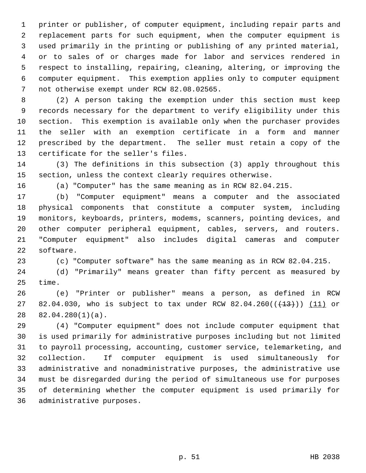1 printer or publisher, of computer equipment, including repair parts and 2 replacement parts for such equipment, when the computer equipment is 3 used primarily in the printing or publishing of any printed material, 4 or to sales of or charges made for labor and services rendered in 5 respect to installing, repairing, cleaning, altering, or improving the 6 computer equipment. This exemption applies only to computer equipment 7 not otherwise exempt under RCW 82.08.02565.

 8 (2) A person taking the exemption under this section must keep 9 records necessary for the department to verify eligibility under this 10 section. This exemption is available only when the purchaser provides 11 the seller with an exemption certificate in a form and manner 12 prescribed by the department. The seller must retain a copy of the 13 certificate for the seller's files.

14 (3) The definitions in this subsection (3) apply throughout this 15 section, unless the context clearly requires otherwise.

16 (a) "Computer" has the same meaning as in RCW 82.04.215.

17 (b) "Computer equipment" means a computer and the associated 18 physical components that constitute a computer system, including 19 monitors, keyboards, printers, modems, scanners, pointing devices, and 20 other computer peripheral equipment, cables, servers, and routers. 21 "Computer equipment" also includes digital cameras and computer 22 software.

23 (c) "Computer software" has the same meaning as in RCW 82.04.215.

24 (d) "Primarily" means greater than fifty percent as measured by 25 time.

26 (e) "Printer or publisher" means a person, as defined in RCW 27 82.04.030, who is subject to tax under RCW 82.04.260( $(\frac{13}{13})$ ) (11) or 28 82.04.280(1)(a).

29 (4) "Computer equipment" does not include computer equipment that 30 is used primarily for administrative purposes including but not limited 31 to payroll processing, accounting, customer service, telemarketing, and 32 collection. If computer equipment is used simultaneously for 33 administrative and nonadministrative purposes, the administrative use 34 must be disregarded during the period of simultaneous use for purposes 35 of determining whether the computer equipment is used primarily for 36 administrative purposes.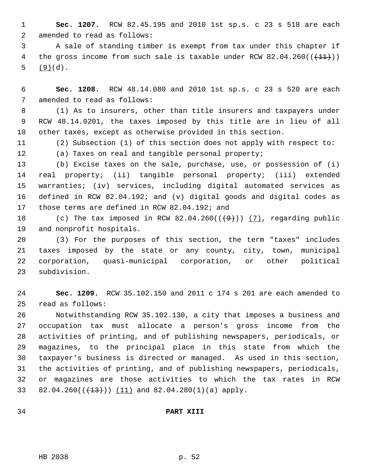1 **Sec. 1207.** RCW 82.45.195 and 2010 1st sp.s. c 23 s 518 are each 2 amended to read as follows:

 3 A sale of standing timber is exempt from tax under this chapter if 4 the gross income from such sale is taxable under RCW  $82.04.260((+\pm1))$ 5 (9)(d).

 6 **Sec. 1208.** RCW 48.14.080 and 2010 1st sp.s. c 23 s 520 are each 7 amended to read as follows:

 8 (1) As to insurers, other than title insurers and taxpayers under 9 RCW 48.14.0201, the taxes imposed by this title are in lieu of all 10 other taxes, except as otherwise provided in this section.

11 (2) Subsection (1) of this section does not apply with respect to:

12 (a) Taxes on real and tangible personal property;

13 (b) Excise taxes on the sale, purchase, use, or possession of (i) 14 real property; (ii) tangible personal property; (iii) extended 15 warranties; (iv) services, including digital automated services as 16 defined in RCW 82.04.192; and (v) digital goods and digital codes as 17 those terms are defined in RCW 82.04.192; and

18 (c) The tax imposed in RCW  $82.04.260((\frac{49}{}))(\frac{7}{7})$ , regarding public 19 and nonprofit hospitals.

20 (3) For the purposes of this section, the term "taxes" includes 21 taxes imposed by the state or any county, city, town, municipal 22 corporation, quasi-municipal corporation, or other political 23 subdivision.

24 **Sec. 1209.** RCW 35.102.150 and 2011 c 174 s 201 are each amended to 25 read as follows:

26 Notwithstanding RCW 35.102.130, a city that imposes a business and 27 occupation tax must allocate a person's gross income from the 28 activities of printing, and of publishing newspapers, periodicals, or 29 magazines, to the principal place in this state from which the 30 taxpayer's business is directed or managed. As used in this section, 31 the activities of printing, and of publishing newspapers, periodicals, 32 or magazines are those activities to which the tax rates in RCW 33 82.04.260( $(\frac{13}{13})$ ) (11) and 82.04.280(1)(a) apply.

### 34 **PART XIII**